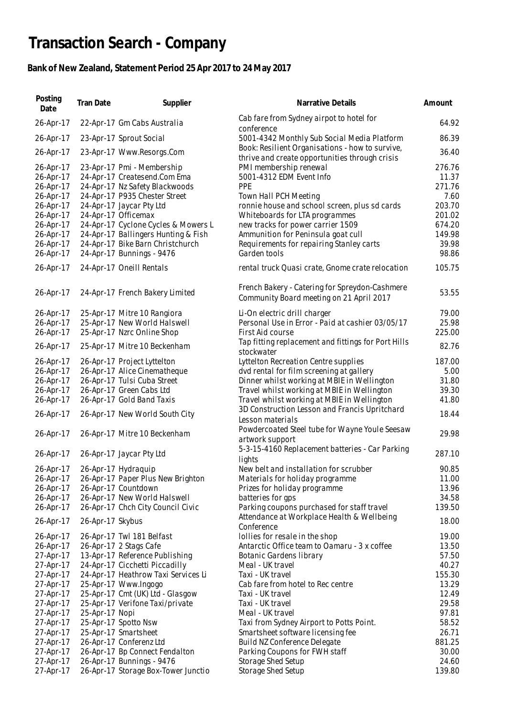## **Transaction Search - Company**

## **Bank of New Zealand, Statement Period 25 Apr 2017 to 24 May 2017**

| Posting<br>Date        | Tran Date        | Supplier                                                            | Narrative Details                                                                                 | Amount         |
|------------------------|------------------|---------------------------------------------------------------------|---------------------------------------------------------------------------------------------------|----------------|
| 26-Apr-17              |                  | 22-Apr-17 Gm Cabs Australia                                         | Cab fare from Sydney airpot to hotel for<br>conference                                            | 64.92          |
| 26-Apr-17              |                  | 23-Apr-17 Sprout Social                                             | 5001-4342 Monthly Sub Social Media Platform                                                       | 86.39          |
| 26-Apr-17              |                  | 23-Apr-17 Www.Resorgs.Com                                           | Book: Resilient Organisations - how to survive,<br>thrive and create opportunities through crisis | 36.40          |
| 26-Apr-17              |                  | 23-Apr-17 Pmi - Membership                                          | PMI membership renewal                                                                            | 276.76         |
| 26-Apr-17              |                  | 24-Apr-17 Createsend.Com Ema                                        | 5001-4312 EDM Event Info                                                                          | 11.37          |
| 26-Apr-17<br>26-Apr-17 |                  | 24-Apr-17 Nz Safety Blackwoods<br>24-Apr-17 P935 Chester Street     | PPE<br>Town Hall PCH Meeting                                                                      | 271.76<br>7.60 |
| 26-Apr-17              |                  | 24-Apr-17 Jaycar Pty Ltd                                            | ronnie house and school screen, plus sd cards                                                     | 203.70         |
| 26-Apr-17              |                  | 24-Apr-17 Officemax                                                 | Whiteboards for LTA programmes                                                                    | 201.02         |
| 26-Apr-17              |                  | 24-Apr-17 Cyclone Cycles & Mowers L                                 | new tracks for power carrier 1509                                                                 | 674.20         |
| 26-Apr-17              |                  | 24-Apr-17 Ballingers Hunting & Fish                                 | Ammunition for Peninsula goat cull                                                                | 149.98         |
| 26-Apr-17              |                  | 24-Apr-17 Bike Barn Christchurch                                    | Requirements for repairing Stanley carts                                                          | 39.98          |
| 26-Apr-17              |                  | 24-Apr-17 Bunnings - 9476                                           | Garden tools                                                                                      | 98.86          |
| 26-Apr-17              |                  | 24-Apr-17 Oneill Rentals                                            | rental truck Quasi crate, Gnome crate relocation                                                  | 105.75         |
| 26-Apr-17              |                  | 24-Apr-17 French Bakery Limited                                     | French Bakery - Catering for Spreydon-Cashmere<br>Community Board meeting on 21 April 2017        | 53.55          |
|                        |                  |                                                                     |                                                                                                   |                |
| 26-Apr-17<br>26-Apr-17 |                  | 25-Apr-17 Mitre 10 Rangiora<br>25-Apr-17 New World Halswell         | Li-On electric drill charger<br>Personal Use in Error - Paid at cashier 03/05/17                  | 79.00<br>25.98 |
| 26-Apr-17              |                  | 25-Apr-17 Nzrc Online Shop                                          | First Aid course                                                                                  | 225.00         |
| 26-Apr-17              |                  | 25-Apr-17 Mitre 10 Beckenham                                        | Tap fitting replacement and fittings for Port Hills<br>stockwater                                 | 82.76          |
| 26-Apr-17              |                  | 26-Apr-17 Project Lyttelton                                         | Lyttelton Recreation Centre supplies                                                              | 187.00         |
| 26-Apr-17              |                  | 26-Apr-17 Alice Cinematheque                                        | dvd rental for film screening at gallery                                                          | 5.00           |
| 26-Apr-17              |                  | 26-Apr-17 Tulsi Cuba Street                                         | Dinner whilst working at MBIE in Wellington                                                       | 31.80          |
| 26-Apr-17              |                  | 26-Apr-17 Green Cabs Ltd                                            | Travel whilst working at MBIE in Wellington                                                       | 39.30          |
| 26-Apr-17              |                  | 26-Apr-17 Gold Band Taxis                                           | Travel whilst working at MBIE in Wellington                                                       | 41.80          |
| 26-Apr-17              |                  | 26-Apr-17 New World South City                                      | 3D Construction Lesson and Francis Upritchard                                                     | 18.44          |
|                        |                  |                                                                     | Lesson materials<br>Powdercoated Steel tube for Wayne Youle Seesaw                                |                |
| 26-Apr-17              |                  | 26-Apr-17 Mitre 10 Beckenham                                        | artwork support                                                                                   | 29.98          |
|                        |                  |                                                                     | 5-3-15-4160 Replacement batteries - Car Parking                                                   |                |
| 26-Apr-17              |                  | 26-Apr-17 Jaycar Pty Ltd                                            | lights                                                                                            | 287.10         |
| 26-Apr-17              |                  | 26-Apr-17 Hydraquip                                                 | New belt and installation for scrubber                                                            | 90.85          |
| 26-Apr-17              |                  | 26-Apr-17 Paper Plus New Brighton                                   | Materials for holiday programme                                                                   | 11.00          |
| 26-Apr-17              |                  | 26-Apr-17 Countdown                                                 | Prizes for holiday programme                                                                      | 13.96          |
| 26-Apr-17              |                  | 26-Apr-17 New World Halswell                                        | batteries for gps                                                                                 | 34.58          |
| 26-Apr-17              |                  | 26-Apr-17 Chch City Council Civic                                   | Parking coupons purchased for staff travel                                                        | 139.50         |
| 26-Apr-17              | 26-Apr-17 Skybus |                                                                     | Attendance at Workplace Health & Wellbeing<br>Conference                                          | 18.00          |
| 26-Apr-17              |                  | 26-Apr-17 Twl 181 Belfast                                           | Iollies for resale in the shop                                                                    | 19.00          |
| 26-Apr-17              |                  | 26-Apr-17 2 Stags Cafe                                              | Antarctic Office team to Oamaru - 3 x coffee                                                      | 13.50          |
| 27-Apr-17              |                  | 13-Apr-17 Reference Publishing                                      | Botanic Gardens library                                                                           | 57.50          |
| 27-Apr-17              |                  | 24-Apr-17 Cicchetti Piccadilly                                      | Meal - UK travel                                                                                  | 40.27          |
| 27-Apr-17              |                  | 24-Apr-17 Heathrow Taxi Services Li                                 | Taxi - UK travel                                                                                  | 155.30         |
| 27-Apr-17              |                  | 25-Apr-17 Www.Ingogo                                                | Cab fare from hotel to Rec centre                                                                 | 13.29<br>12.49 |
| 27-Apr-17<br>27-Apr-17 |                  | 25-Apr-17 Cmt (UK) Ltd - Glasgow<br>25-Apr-17 Verifone Taxi/private | Taxi - UK travel<br>Taxi - UK travel                                                              | 29.58          |
| 27-Apr-17              | 25-Apr-17 Nopi   |                                                                     | Meal - UK travel                                                                                  | 97.81          |
| 27-Apr-17              |                  | 25-Apr-17 Spotto Nsw                                                | Taxi from Sydney Airport to Potts Point.                                                          | 58.52          |
| 27-Apr-17              |                  | 25-Apr-17 Smartsheet                                                | Smartsheet software licensing fee                                                                 | 26.71          |
| 27-Apr-17              |                  | 26-Apr-17 Conferenz Ltd                                             | Build NZ Conference Delegate                                                                      | 881.25         |
| 27-Apr-17              |                  | 26-Apr-17 Bp Connect Fendalton                                      | Parking Coupons for FWH staff                                                                     | 30.00          |
| 27-Apr-17              |                  | 26-Apr-17 Bunnings - 9476                                           | Storage Shed Setup                                                                                | 24.60          |
| 27-Apr-17              |                  | 26-Apr-17 Storage Box-Tower Junctio                                 | Storage Shed Setup                                                                                | 139.80         |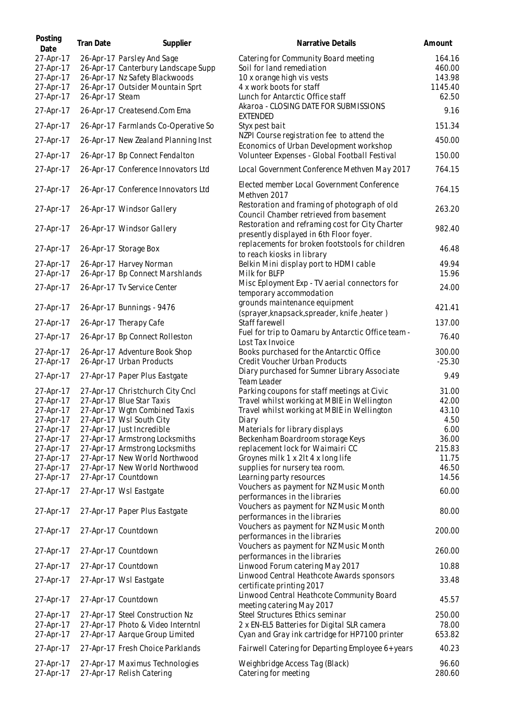| Posting<br>Date                     | Tran Date       | Supplier                                                                                            | Narrative Details                                                                                                 | Amount                     |
|-------------------------------------|-----------------|-----------------------------------------------------------------------------------------------------|-------------------------------------------------------------------------------------------------------------------|----------------------------|
| 27-Apr-17<br>27-Apr-17<br>27-Apr-17 |                 | 26-Apr-17 Parsley And Sage<br>26-Apr-17 Canterbury Landscape Supp<br>26-Apr-17 Nz Safety Blackwoods | Catering for Community Board meeting<br>Soil for land remediation<br>10 x orange high vis vests                   | 164.16<br>460.00<br>143.98 |
| 27-Apr-17<br>27-Apr-17              | 26-Apr-17 Steam | 26-Apr-17 Outsider Mountain Sprt                                                                    | 4 x work boots for staff<br>Lunch for Antarctic Office staff                                                      | 1145.40<br>62.50           |
| 27-Apr-17                           |                 | 26-Apr-17 Createsend.Com Ema                                                                        | Akaroa - CLOSING DATE FOR SUBMISSIONS<br><b>EXTENDED</b>                                                          | 9.16                       |
| 27-Apr-17                           |                 | 26-Apr-17 Farmlands Co-Operative So                                                                 | Styx pest bait                                                                                                    | 151.34                     |
| 27-Apr-17                           |                 | 26-Apr-17 New Zealand Planning Inst                                                                 | NZPI Course registration fee to attend the<br>Economics of Urban Development workshop                             | 450.00                     |
| 27-Apr-17                           |                 | 26-Apr-17 Bp Connect Fendalton                                                                      | Volunteer Expenses - Global Football Festival                                                                     | 150.00                     |
| 27-Apr-17                           |                 | 26-Apr-17 Conference Innovators Ltd                                                                 | Local Government Conference Methven May 2017                                                                      | 764.15                     |
| 27-Apr-17                           |                 | 26-Apr-17 Conference Innovators Ltd                                                                 | Elected member Local Government Conference<br>Methven 2017                                                        | 764.15                     |
| 27-Apr-17                           |                 | 26-Apr-17 Windsor Gallery                                                                           | Restoration and framing of photograph of old<br>Council Chamber retrieved from basement                           | 263.20                     |
| 27-Apr-17                           |                 | 26-Apr-17 Windsor Gallery                                                                           | Restoration and reframing cost for City Charter<br>presently displayed in 6th Floor foyer.                        | 982.40                     |
| 27-Apr-17                           |                 | 26-Apr-17 Storage Box                                                                               | replacements for broken footstools for children<br>to reach kiosks in library                                     | 46.48                      |
| 27-Apr-17<br>27-Apr-17              |                 | 26-Apr-17 Harvey Norman<br>26-Apr-17 Bp Connect Marshlands                                          | Belkin Mini display port to HDMI cable<br>Milk for BLFP                                                           | 49.94<br>15.96             |
| 27-Apr-17                           |                 | 26-Apr-17 Tv Service Center                                                                         | Misc Eployment Exp - TV aerial connectors for<br>temporary accommodation                                          | 24.00                      |
| 27-Apr-17                           |                 | 26-Apr-17 Bunnings - 9476                                                                           | grounds maintenance equipment<br>(sprayer, knapsack, spreader, knife, heater)                                     | 421.41                     |
| 27-Apr-17                           |                 | 26-Apr-17 Therapy Cafe                                                                              | Staff farewell                                                                                                    | 137.00                     |
| 27-Apr-17                           |                 | 26-Apr-17 Bp Connect Rolleston                                                                      | Fuel for trip to Oamaru by Antarctic Office team -<br>Lost Tax Invoice                                            | 76.40                      |
| 27-Apr-17<br>27-Apr-17              |                 | 26-Apr-17 Adventure Book Shop<br>26-Apr-17 Urban Products                                           | Books purchased for the Antarctic Office<br>Credit Voucher Urban Products                                         | 300.00<br>$-25.30$         |
| 27-Apr-17                           |                 | 27-Apr-17 Paper Plus Eastgate                                                                       | Diary purchased for Sumner Library Associate<br>Team Leader                                                       | 9.49                       |
| 27-Apr-17                           |                 | 27-Apr-17 Christchurch City Cncl                                                                    | Parking coupons for staff meetings at Civic                                                                       | 31.00                      |
| 27-Apr-17                           |                 | 27-Apr-17 Blue Star Taxis                                                                           | Travel whilst working at MBIE in Wellington                                                                       | 42.00                      |
| 27-Apr-17                           |                 | 27-Apr-17 Wgtn Combined Taxis                                                                       | Travel whilst working at MBIE in Wellington                                                                       | 43.10                      |
| 27-Apr-17                           |                 | 27-Apr-17 Wsl South City                                                                            | Diary                                                                                                             | 4.50                       |
| 27-Apr-17                           |                 | 27-Apr-17 Just Incredible                                                                           | Materials for library displays                                                                                    | 6.00                       |
| 27-Apr-17                           |                 | 27-Apr-17 Armstrong Locksmiths                                                                      | Beckenham Boardroom storage Keys                                                                                  | 36.00                      |
| 27-Apr-17                           |                 | 27-Apr-17 Armstrong Locksmiths                                                                      | replacement lock for Waimairi CC                                                                                  | 215.83                     |
| 27-Apr-17                           |                 | 27-Apr-17 New World Northwood                                                                       | Groynes milk 1 x 2lt 4 x long life                                                                                | 11.75                      |
| 27-Apr-17                           |                 | 27-Apr-17 New World Northwood                                                                       | supplies for nursery tea room.                                                                                    | 46.50                      |
| 27-Apr-17<br>27-Apr-17              |                 | 27-Apr-17 Countdown<br>27-Apr-17 Wsl Eastgate                                                       | Learning party resources<br>Vouchers as payment for NZ Music Month                                                | 14.56<br>60.00             |
|                                     |                 |                                                                                                     | performances in the libraries<br>Vouchers as payment for NZ Music Month                                           |                            |
| 27-Apr-17                           |                 | 27-Apr-17 Paper Plus Eastgate                                                                       | performances in the libraries                                                                                     | 80.00                      |
| 27-Apr-17                           |                 | 27-Apr-17 Countdown                                                                                 | Vouchers as payment for NZ Music Month<br>performances in the libraries<br>Vouchers as payment for NZ Music Month | 200.00                     |
| 27-Apr-17                           |                 | 27-Apr-17 Countdown                                                                                 | performances in the libraries                                                                                     | 260.00                     |
| 27-Apr-17                           |                 | 27-Apr-17 Countdown                                                                                 | Linwood Forum catering May 2017                                                                                   | 10.88                      |
| 27-Apr-17                           |                 | 27-Apr-17 Wsl Eastgate                                                                              | Linwood Central Heathcote Awards sponsors<br>certificate printing 2017                                            | 33.48                      |
| 27-Apr-17                           |                 | 27-Apr-17 Countdown                                                                                 | Linwood Central Heathcote Community Board<br>meeting catering May 2017                                            | 45.57                      |
| 27-Apr-17                           |                 | 27-Apr-17 Steel Construction Nz                                                                     | Steel Structures Ethics seminar                                                                                   | 250.00                     |
| 27-Apr-17                           |                 | 27-Apr-17 Photo & Video Interntnl                                                                   | 2 x EN-EL5 Batteries for Digital SLR camera                                                                       | 78.00                      |
| 27-Apr-17                           |                 | 27-Apr-17 Aarque Group Limited                                                                      | Cyan and Gray ink cartridge for HP7100 printer                                                                    | 653.82                     |
| 27-Apr-17                           |                 | 27-Apr-17 Fresh Choice Parklands                                                                    | Fairwell Catering for Departing Employee 6+ years                                                                 | 40.23                      |
| 27-Apr-17<br>27-Apr-17              |                 | 27-Apr-17 Maximus Technologies<br>27-Apr-17 Relish Catering                                         | Weighbridge Access Tag (Black)<br>Catering for meeting                                                            | 96.60<br>280.60            |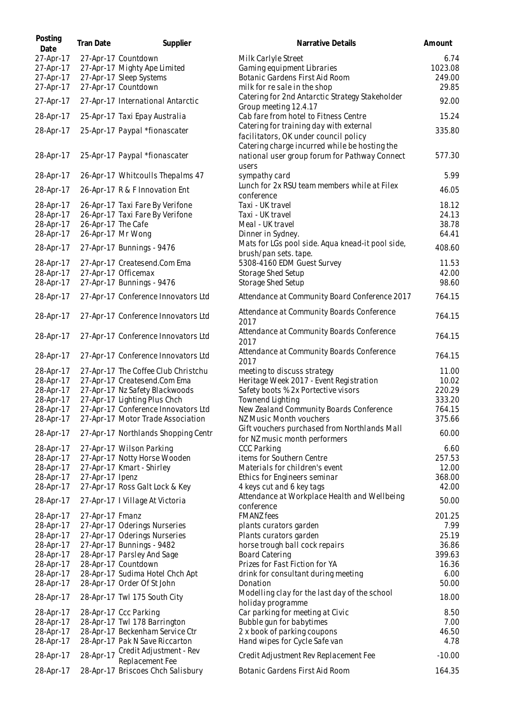| Posting<br>Date | Tran Date          | Supplier                                             | Narrative Details                                                                      | Amount   |
|-----------------|--------------------|------------------------------------------------------|----------------------------------------------------------------------------------------|----------|
| 27-Apr-17       |                    | 27-Apr-17 Countdown                                  | Milk Carlyle Street                                                                    | 6.74     |
| 27-Apr-17       |                    | 27-Apr-17 Mighty Ape Limited                         | Gaming equipment Libraries                                                             | 1023.08  |
| 27-Apr-17       |                    | 27-Apr-17 Sleep Systems                              | Botanic Gardens First Aid Room                                                         | 249.00   |
| 27-Apr-17       |                    | 27-Apr-17 Countdown                                  | milk for re sale in the shop                                                           | 29.85    |
| 27-Apr-17       |                    | 27-Apr-17 International Antarctic                    | Catering for 2nd Antarctic Strategy Stakeholder<br>Group meeting 12.4.17               | 92.00    |
| 28-Apr-17       |                    | 25-Apr-17 Taxi Epay Australia                        | Cab fare from hotel to Fitness Centre                                                  | 15.24    |
| 28-Apr-17       |                    | 25-Apr-17 Paypal *fionascater                        | Catering for training day with external                                                | 335.80   |
|                 |                    |                                                      | facilitators, OK under council policy<br>Catering charge incurred while be hosting the |          |
| 28-Apr-17       |                    | 25-Apr-17 Paypal *fionascater                        | national user group forum for Pathway Connect<br>users                                 | 577.30   |
| 28-Apr-17       |                    | 26-Apr-17 Whitcoulls Thepalms 47                     | sympathy card                                                                          | 5.99     |
| 28-Apr-17       |                    | 26-Apr-17 R & F Innovation Ent                       | Lunch for 2x RSU team members while at Filex<br>conference                             | 46.05    |
| 28-Apr-17       |                    | 26-Apr-17 Taxi Fare By Verifone                      | Taxi - UK travel                                                                       | 18.12    |
| 28-Apr-17       |                    | 26-Apr-17 Taxi Fare By Verifone                      | Taxi - UK travel                                                                       | 24.13    |
| 28-Apr-17       | 26-Apr-17 The Cafe |                                                      | Meal - UK travel                                                                       | 38.78    |
| 28-Apr-17       | 26-Apr-17 Mr Wong  |                                                      | Dinner in Sydney.                                                                      | 64.41    |
|                 |                    |                                                      | Mats for LGs pool side. Aqua knead-it pool side,                                       |          |
| 28-Apr-17       |                    | 27-Apr-17 Bunnings - 9476                            | brush/pan sets. tape.                                                                  | 408.60   |
| 28-Apr-17       |                    | 27-Apr-17 Createsend.Com Ema                         | 5308-4160 EDM Guest Survey                                                             | 11.53    |
| 28-Apr-17       |                    | 27-Apr-17 Officemax                                  | <b>Storage Shed Setup</b>                                                              | 42.00    |
| 28-Apr-17       |                    | 27-Apr-17 Bunnings - 9476                            | <b>Storage Shed Setup</b>                                                              | 98.60    |
| 28-Apr-17       |                    | 27-Apr-17 Conference Innovators Ltd                  | Attendance at Community Board Conference 2017                                          | 764.15   |
| 28-Apr-17       |                    | 27-Apr-17 Conference Innovators Ltd                  | Attendance at Community Boards Conference<br>2017                                      | 764.15   |
| 28-Apr-17       |                    | 27-Apr-17 Conference Innovators Ltd                  | Attendance at Community Boards Conference<br>2017                                      | 764.15   |
| 28-Apr-17       |                    | 27-Apr-17 Conference Innovators Ltd                  | Attendance at Community Boards Conference<br>2017                                      | 764.15   |
| 28-Apr-17       |                    | 27-Apr-17 The Coffee Club Christchu                  | meeting to discuss strategy                                                            | 11.00    |
| 28-Apr-17       |                    | 27-Apr-17 Createsend.Com Ema                         | Heritage Week 2017 - Event Registration                                                | 10.02    |
| 28-Apr-17       |                    | 27-Apr-17 Nz Safety Blackwoods                       | Safety boots % 2x Portective visors                                                    | 220.29   |
| 28-Apr-17       |                    | 27-Apr-17 Lighting Plus Chch                         | Townend Lighting                                                                       | 333.20   |
| 28-Apr-17       |                    | 27-Apr-17 Conference Innovators Ltd                  | New Zealand Community Boards Conference                                                | 764.15   |
| 28-Apr-17       |                    | 27-Apr-17 Motor Trade Association                    | NZ Music Month vouchers                                                                | 375.66   |
| 28-Apr-17       |                    | 27-Apr-17 Northlands Shopping Centr                  | Gift vouchers purchased from Northlands Mall<br>for NZ music month performers          | 60.00    |
| 28-Apr-17       |                    | 27-Apr-17 Wilson Parking                             | <b>CCC Parking</b>                                                                     | 6.60     |
| 28-Apr-17       |                    | 27-Apr-17 Notty Horse Wooden                         | items for Southern Centre                                                              | 257.53   |
| 28-Apr-17       |                    | 27-Apr-17 Kmart - Shirley                            | Materials for children's event                                                         | 12.00    |
| 28-Apr-17       | 27-Apr-17 Ipenz    |                                                      | Ethics for Engineers seminar                                                           | 368.00   |
| 28-Apr-17       |                    | 27-Apr-17 Ross Galt Lock & Key                       | 4 keys cut and 6 key tags                                                              | 42.00    |
| 28-Apr-17       |                    | 27-Apr-17   Village At Victoria                      | Attendance at Workplace Health and Wellbeing<br>conference                             | 50.00    |
| 28-Apr-17       | 27-Apr-17 Fmanz    |                                                      | <b>FMANZ</b> fees                                                                      | 201.25   |
| 28-Apr-17       |                    | 27-Apr-17 Oderings Nurseries                         | plants curators garden                                                                 | 7.99     |
| 28-Apr-17       |                    | 27-Apr-17 Oderings Nurseries                         | Plants curators garden                                                                 | 25.19    |
| 28-Apr-17       |                    | 27-Apr-17 Bunnings - 9482                            | horse trough ball cock repairs                                                         | 36.86    |
| 28-Apr-17       |                    | 28-Apr-17 Parsley And Sage                           | <b>Board Catering</b>                                                                  | 399.63   |
| 28-Apr-17       |                    | 28-Apr-17 Countdown                                  | Prizes for Fast Fiction for YA                                                         | 16.36    |
| 28-Apr-17       |                    | 28-Apr-17 Sudima Hotel Chch Apt                      | drink for consultant during meeting                                                    | 6.00     |
| 28-Apr-17       |                    | 28-Apr-17 Order Of St John                           | Donation                                                                               | 50.00    |
| 28-Apr-17       |                    | 28-Apr-17 Twl 175 South City                         | Modelling clay for the last day of the school<br>holiday programme                     | 18.00    |
| 28-Apr-17       |                    | 28-Apr-17 Ccc Parking                                | Car parking for meeting at Civic                                                       | 8.50     |
| 28-Apr-17       |                    | 28-Apr-17 Twl 178 Barrington                         | Bubble gun for babytimes                                                               | 7.00     |
| 28-Apr-17       |                    | 28-Apr-17 Beckenham Service Ctr                      | 2 x book of parking coupons                                                            | 46.50    |
| 28-Apr-17       |                    | 28-Apr-17 Pak N Save Riccarton                       | Hand wipes for Cycle Safe van                                                          | 4.78     |
| 28-Apr-17       |                    | 28-Apr-17 Credit Adjustment - Rev<br>Replacement Fee | Credit Adjustment Rev Replacement Fee                                                  | $-10.00$ |
| 28-Apr-17       |                    | 28-Apr-17 Briscoes Chch Salisbury                    | Botanic Gardens First Aid Room                                                         | 164.35   |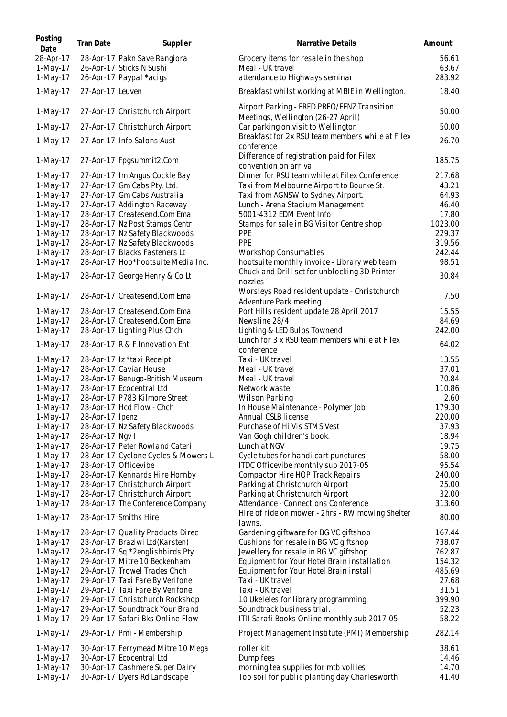| Posting<br>Date          | Tran Date        | Supplier                                                           | Narrative Details                                                                 | Amount          |
|--------------------------|------------------|--------------------------------------------------------------------|-----------------------------------------------------------------------------------|-----------------|
| 28-Apr-17                |                  | 28-Apr-17 Pakn Save Rangiora                                       | Grocery items for resale in the shop                                              | 56.61           |
| $1-May-17$               |                  | 26-Apr-17 Sticks N Sushi                                           | Meal - UK travel                                                                  | 63.67           |
| $1-May-17$               |                  | 26-Apr-17 Paypal *acigs                                            | attendance to Highways seminar                                                    | 283.92          |
| $1-May-17$               | 27-Apr-17 Leuven |                                                                    | Breakfast whilst working at MBIE in Wellington.                                   | 18.40           |
| $1-May-17$               |                  | 27-Apr-17 Christchurch Airport                                     | Airport Parking - ERFD PRFO/FENZ Transition<br>Meetings, Wellington (26-27 April) | 50.00           |
| $1-May-17$               |                  | 27-Apr-17 Christchurch Airport                                     | Car parking on visit to Wellington                                                | 50.00           |
| $1-May-17$               |                  | 27-Apr-17 Info Salons Aust                                         | Breakfast for 2x RSU team members while at Filex<br>conference                    | 26.70           |
| 1-May-17                 |                  | 27-Apr-17 Fpgsummit2.Com                                           | Difference of registration paid for Filex<br>convention on arrival                | 185.75          |
| $1-May-17$               |                  | 27-Apr-17 Im Angus Cockle Bay                                      | Dinner for RSU team while at Filex Conference                                     | 217.68          |
| $1-May-17$               |                  | 27-Apr-17 Gm Cabs Pty. Ltd.                                        | Taxi from Melbourne Airport to Bourke St.                                         | 43.21           |
| $1-May-17$               |                  | 27-Apr-17 Gm Cabs Australia                                        | Taxi from AGNSW to Sydney Airport.                                                | 64.93           |
| $1-May-17$               |                  | 27-Apr-17 Addington Raceway                                        | Lunch - Arena Stadium Management                                                  | 46.40           |
| $1-May-17$               |                  | 28-Apr-17 Createsend.Com Ema                                       | 5001-4312 EDM Event Info                                                          | 17.80           |
| $1-May-17$               |                  | 28-Apr-17 Nz Post Stamps Centr                                     | Stamps for sale in BG Visitor Centre shop                                         | 1023.00         |
| $1-May-17$               |                  | 28-Apr-17 Nz Safety Blackwoods                                     | <b>PPE</b>                                                                        | 229.37          |
| $1-May-17$               |                  | 28-Apr-17 Nz Safety Blackwoods                                     | PPE                                                                               | 319.56          |
| $1-May-17$               |                  | 28-Apr-17 Blacks Fasteners Lt                                      | <b>Workshop Consumables</b>                                                       | 242.44          |
| $1-May-17$               |                  | 28-Apr-17 Hoo*hootsuite Media Inc.                                 | hootsuite monthly invoice - Library web team                                      | 98.51           |
| $1-May-17$               |                  | 28-Apr-17 George Henry & Co Lt                                     | Chuck and Drill set for unblocking 3D Printer<br>nozzles                          | 30.84           |
| 1-May-17                 |                  | 28-Apr-17 Createsend.Com Ema                                       | Worsleys Road resident update - Christchurch<br>Adventure Park meeting            | 7.50            |
| $1-May-17$               |                  | 28-Apr-17 Createsend.Com Ema                                       | Port Hills resident update 28 April 2017                                          | 15.55           |
| $1-May-17$               |                  | 28-Apr-17 Createsend.Com Ema                                       | Newsline 28/4                                                                     | 84.69           |
| $1-May-17$               |                  | 28-Apr-17 Lighting Plus Chch                                       | Lighting & LED Bulbs Townend                                                      | 242.00          |
| $1-May-17$               |                  | 28-Apr-17 R & F Innovation Ent                                     | Lunch for 3 x RSU team members while at Filex<br>conference                       | 64.02           |
| $1-May-17$               |                  | 28-Apr-17 Iz *taxi Receipt                                         | Taxi - UK travel                                                                  | 13.55           |
| $1-May-17$               |                  | 28-Apr-17 Caviar House                                             | Meal - UK travel                                                                  | 37.01           |
| $1-May-17$               |                  | 28-Apr-17 Benugo-British Museum                                    | Meal - UK travel                                                                  | 70.84           |
| $1-May-17$               |                  | 28-Apr-17 Ecocentral Ltd                                           | Network waste                                                                     | 110.86          |
| $1-May-17$               |                  | 28-Apr-17 P783 Kilmore Street                                      | <b>Wilson Parking</b>                                                             | 2.60            |
| $1-May-17$               |                  | 28-Apr-17 Hcd Flow - Chch                                          | In House Maintenance - Polymer Job                                                | 179.30          |
| $1-May-17$               | 28-Apr-17 Ipenz  |                                                                    | Annual CSLB license                                                               | 220.00          |
| $1-May-17$               |                  | 28-Apr-17 Nz Safety Blackwoods                                     | Purchase of Hi Vis STMS Vest                                                      | 37.93           |
| $1-May-17$               | 28-Apr-17 Ngv I  |                                                                    | Van Gogh children's book.                                                         | 18.94           |
| $1-May-17$               |                  | 28-Apr-17 Peter Rowland Cateri                                     | Lunch at NGV                                                                      | 19.75           |
| $1-May-17$               |                  | 28-Apr-17 Cyclone Cycles & Mowers L                                | Cycle tubes for handi cart punctures                                              | 58.00           |
| $1-May-17$               |                  | 28-Apr-17 Officevibe                                               | ITDC Officevibe monthly sub 2017-05                                               | 95.54           |
| $1-May-17$               |                  | 28-Apr-17 Kennards Hire Hornby                                     | Compactor Hire HQP Track Repairs                                                  | 240.00          |
| $1-May-17$               |                  | 28-Apr-17 Christchurch Airport                                     | Parking at Christchurch Airport                                                   | 25.00           |
| $1-May-17$               |                  | 28-Apr-17 Christchurch Airport                                     | Parking at Christchurch Airport                                                   | 32.00           |
| $1-May-17$               |                  | 28-Apr-17 The Conference Company                                   | Attendance - Connections Conference                                               | 313.60          |
| $1-May-17$               |                  | 28-Apr-17 Smiths Hire                                              | Hire of ride on mower - 2hrs - RW mowing Shelter                                  | 80.00           |
| $1-May-17$               |                  | 28-Apr-17 Quality Products Direc                                   | lawns.<br>Gardening giftware for BG VC giftshop                                   | 167.44          |
| $1-May-17$               |                  | 28-Apr-17 Braziwi Ltd(Karsten)                                     | Cushions for resale in BG VC giftshop                                             | 738.07          |
| $1-May-17$               |                  | 28-Apr-17 Sq *2englishbirds Pty                                    | Jewellery for resale in BG VC giftshop                                            | 762.87          |
| $1-May-17$               |                  | 29-Apr-17 Mitre 10 Beckenham                                       | Equipment for Your Hotel Brain installation                                       | 154.32          |
|                          |                  |                                                                    |                                                                                   | 485.69          |
| $1-May-17$               |                  | 29-Apr-17 Trowel Trades Chch                                       | Equipment for Your Hotel Brain install                                            |                 |
| $1-May-17$               |                  | 29-Apr-17 Taxi Fare By Verifone<br>29-Apr-17 Taxi Fare By Verifone | Taxi - UK travel<br>Taxi - UK travel                                              | 27.68<br>31.51  |
| $1-May-17$               |                  |                                                                    |                                                                                   |                 |
| $1-May-17$               |                  | 29-Apr-17 Christchurch Rockshop                                    | 10 Ukeleles for library programming                                               | 399.90          |
| $1-May-17$               |                  | 29-Apr-17 Soundtrack Your Brand                                    | Soundtrack business trial.                                                        | 52.23           |
| $1-May-17$               |                  | 29-Apr-17 Safari Bks Online-Flow                                   | ITII Sarafi Books Online monthly sub 2017-05                                      | 58.22           |
| $1-May-17$<br>$1-May-17$ |                  | 29-Apr-17 Pmi - Membership                                         | Project Management Institute (PMI) Membership<br>roller kit                       | 282.14<br>38.61 |
| $1-May-17$               |                  | 30-Apr-17 Ferrymead Mitre 10 Mega<br>30-Apr-17 Ecocentral Ltd      | Dump fees                                                                         | 14.46           |
| $1-May-17$               |                  | 30-Apr-17 Cashmere Super Dairy                                     | morning tea supplies for mtb vollies                                              | 14.70           |
| $1-May-17$               |                  | 30-Apr-17 Dyers Rd Landscape                                       | Top soil for public planting day Charlesworth                                     | 41.40           |
|                          |                  |                                                                    |                                                                                   |                 |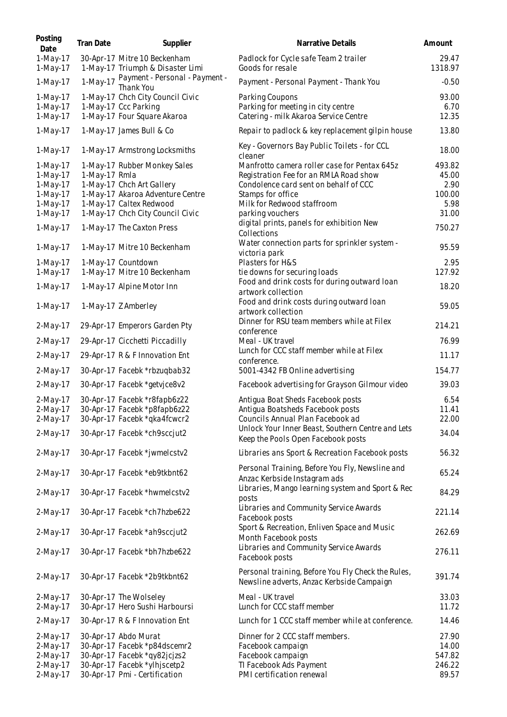| Posting<br>Date                                                                  | Tran Date     | Supplier                                                                                                                                                     | Narrative Details                                                                                                                                                                                                                                   | Amount                                             |
|----------------------------------------------------------------------------------|---------------|--------------------------------------------------------------------------------------------------------------------------------------------------------------|-----------------------------------------------------------------------------------------------------------------------------------------------------------------------------------------------------------------------------------------------------|----------------------------------------------------|
| $1-May-17$<br>$1-May-17$                                                         |               | 30-Apr-17 Mitre 10 Beckenham<br>1-May-17 Triumph & Disaster Limi                                                                                             | Padlock for Cycle safe Team 2 trailer<br>Goods for resale                                                                                                                                                                                           | 29.47<br>1318.97                                   |
| $1-May-17$                                                                       | $1-May-17$    | Payment - Personal - Payment -<br>Thank You                                                                                                                  | Payment - Personal Payment - Thank You                                                                                                                                                                                                              | $-0.50$                                            |
| $1-May-17$<br>$1-May-17$<br>$1-May-17$                                           |               | 1-May-17 Chch City Council Civic<br>1-May-17 Ccc Parking<br>1-May-17 Four Square Akaroa                                                                      | Parking Coupons<br>Parking for meeting in city centre<br>Catering - milk Akaroa Service Centre                                                                                                                                                      | 93.00<br>6.70<br>12.35                             |
| $1-May-17$                                                                       |               | 1-May-17 James Bull & Co                                                                                                                                     | Repair to padlock & key replacement gilpin house                                                                                                                                                                                                    | 13.80                                              |
| $1-May-17$                                                                       |               | 1-May-17 Armstrong Locksmiths                                                                                                                                | Key - Governors Bay Public Toilets - for CCL<br>cleaner                                                                                                                                                                                             | 18.00                                              |
| $1-May-17$<br>$1-May-17$<br>$1-May-17$<br>$1-May-17$<br>$1-May-17$<br>$1-May-17$ | 1-May-17 Rmla | 1-May-17 Rubber Monkey Sales<br>1-May-17 Chch Art Gallery<br>1-May-17 Akaroa Adventure Centre<br>1-May-17 Caltex Redwood<br>1-May-17 Chch City Council Civic | Manfrotto camera roller case for Pentax 645z<br>Registration Fee for an RMLA Road show<br>Condolence card sent on behalf of CCC<br>Stamps for office<br>Milk for Redwood staffroom<br>parking vouchers<br>digital prints, panels for exhibition New | 493.82<br>45.00<br>2.90<br>100.00<br>5.98<br>31.00 |
| $1-May-17$<br>1-May-17                                                           |               | 1-May-17 The Caxton Press<br>1-May-17 Mitre 10 Beckenham                                                                                                     | Collections<br>Water connection parts for sprinkler system -                                                                                                                                                                                        | 750.27<br>95.59                                    |
| $1-May-17$<br>$1-May-17$                                                         |               | 1-May-17 Countdown<br>1-May-17 Mitre 10 Beckenham                                                                                                            | victoria park<br>Plasters for H&S<br>tie downs for securing loads<br>Food and drink costs for during outward loan                                                                                                                                   | 2.95<br>127.92                                     |
| $1-May-17$                                                                       |               | 1-May-17 Alpine Motor Inn                                                                                                                                    | artwork collection                                                                                                                                                                                                                                  | 18.20                                              |
| $1-May-17$                                                                       |               | 1-May-17 Z Amberley                                                                                                                                          | Food and drink costs during outward loan<br>artwork collection                                                                                                                                                                                      | 59.05                                              |
| 2-May-17                                                                         |               | 29-Apr-17 Emperors Garden Pty                                                                                                                                | Dinner for RSU team members while at Filex<br>conference                                                                                                                                                                                            | 214.21                                             |
| $2$ -May-17                                                                      |               | 29-Apr-17 Cicchetti Piccadilly                                                                                                                               | Meal - UK travel<br>Lunch for CCC staff member while at Filex                                                                                                                                                                                       | 76.99                                              |
| 2-May-17                                                                         |               | 29-Apr-17 R & F Innovation Ent                                                                                                                               | conference.                                                                                                                                                                                                                                         | 11.17                                              |
| $2-May-17$                                                                       |               | 30-Apr-17 Facebk *rbzuqbab32                                                                                                                                 | 5001-4342 FB Online advertising                                                                                                                                                                                                                     | 154.77                                             |
| 2-May-17                                                                         |               | 30-Apr-17 Facebk *getvjce8v2                                                                                                                                 | Facebook advertising for Grayson Gilmour video                                                                                                                                                                                                      | 39.03                                              |
| $2-May-17$<br>2-May-17<br>2-May-17<br>$2-May-17$                                 |               | 30-Apr-17 Facebk *r8fapb6z22<br>30-Apr-17 Facebk *p8fapb6z22<br>30-Apr-17 Facebk *qka4fcwcr2<br>30-Apr-17 Facebk *ch9sccjut2                                 | Antigua Boat Sheds Facebook posts<br>Antigua Boatsheds Facebook posts<br>Councils Annual Plan Facebook ad<br>Unlock Your Inner Beast, Southern Centre and Lets<br>Keep the Pools Open Facebook posts                                                | 6.54<br>11.41<br>22.00<br>34.04                    |
| $2$ -May-17                                                                      |               | 30-Apr-17 Facebk *jwmelcstv2                                                                                                                                 | Libraries ans Sport & Recreation Facebook posts                                                                                                                                                                                                     | 56.32                                              |
| 2-May-17                                                                         |               | 30-Apr-17 Facebk *eb9tkbnt62                                                                                                                                 | Personal Training, Before You Fly, Newsline and<br>Anzac Kerbside Instagram ads                                                                                                                                                                     | 65.24                                              |
| $2$ -May-17                                                                      |               | 30-Apr-17 Facebk *hwmelcstv2                                                                                                                                 | Libraries, Mango learning system and Sport & Rec<br>posts                                                                                                                                                                                           | 84.29                                              |
| 2-May-17                                                                         |               | 30-Apr-17 Facebk *ch7hzbe622                                                                                                                                 | Libraries and Community Service Awards<br>Facebook posts                                                                                                                                                                                            | 221.14                                             |
| $2$ -May-17                                                                      |               | 30-Apr-17 Facebk *ah9sccjut2                                                                                                                                 | Sport & Recreation, Enliven Space and Music<br>Month Facebook posts                                                                                                                                                                                 | 262.69                                             |
| $2$ -May-17                                                                      |               | 30-Apr-17 Facebk *bh7hzbe622                                                                                                                                 | Libraries and Community Service Awards<br>Facebook posts                                                                                                                                                                                            | 276.11                                             |
| $2$ -May-17                                                                      |               | 30-Apr-17 Facebk *2b9tkbnt62                                                                                                                                 | Personal training, Before You Fly Check the Rules,<br>Newsline adverts, Anzac Kerbside Campaign                                                                                                                                                     | 391.74                                             |
| $2$ -May-17<br>$2$ -May-17                                                       |               | 30-Apr-17 The Wolseley<br>30-Apr-17 Hero Sushi Harboursi                                                                                                     | Meal - UK travel<br>Lunch for CCC staff member                                                                                                                                                                                                      | 33.03<br>11.72                                     |
| $2$ -May-17                                                                      |               | 30-Apr-17 R & F Innovation Ent                                                                                                                               | Lunch for 1 CCC staff member while at conference.                                                                                                                                                                                                   | 14.46                                              |
| $2$ -May-17<br>$2$ -May-17<br>$2-May-17$<br>$2-May-17$<br>2-May-17               |               | 30-Apr-17 Abdo Murat<br>30-Apr-17 Facebk *p84dscemr2<br>30-Apr-17 Facebk *qy82jcjzs2<br>30-Apr-17 Facebk *ylhjscetp2<br>30-Apr-17 Pmi - Certification        | Dinner for 2 CCC staff members.<br>Facebook campaign<br>Facebook campaign<br>TI Facebook Ads Payment<br>PMI certification renewal                                                                                                                   | 27.90<br>14.00<br>547.82<br>246.22<br>89.57        |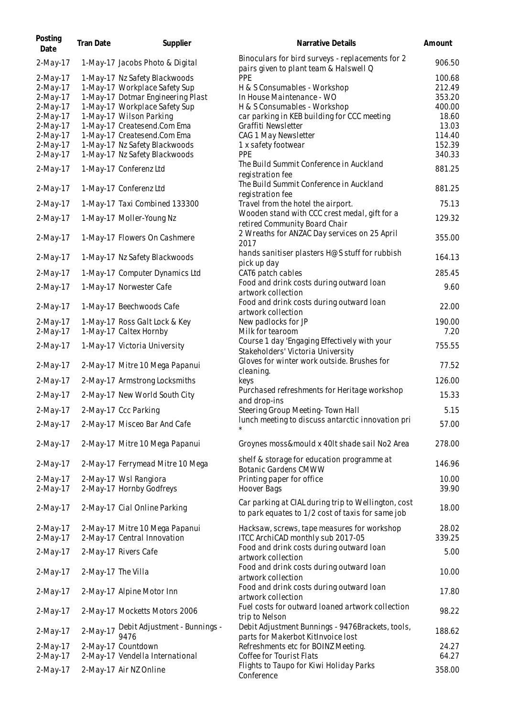| Posting<br>Date | Tran Date          | Supplier                              | Narrative Details                                                                                        | Amount |
|-----------------|--------------------|---------------------------------------|----------------------------------------------------------------------------------------------------------|--------|
| $2-May-17$      |                    | 1-May-17 Jacobs Photo & Digital       | Binoculars for bird surveys - replacements for 2<br>pairs given to plant team & Halswell Q               | 906.50 |
| $2-May-17$      |                    | 1-May-17 Nz Safety Blackwoods         | PPE                                                                                                      | 100.68 |
| $2-May-17$      |                    | 1-May-17 Workplace Safety Sup         | H & S Consumables - Workshop                                                                             | 212.49 |
| $2-May-17$      |                    | 1-May-17 Dotmar Engineering Plast     | In House Maintenance - WO                                                                                | 353.20 |
| $2-May-17$      |                    | 1-May-17 Workplace Safety Sup         | H & S Consumables - Workshop                                                                             | 400.00 |
| $2$ -May-17     |                    | 1-May-17 Wilson Parking               | car parking in KEB building for CCC meeting                                                              | 18.60  |
|                 |                    |                                       |                                                                                                          |        |
| $2-May-17$      |                    | 1-May-17 Createsend.Com Ema           | Graffiti Newsletter                                                                                      | 13.03  |
| $2-May-17$      |                    | 1-May-17 Createsend.Com Ema           | CAG 1 May Newsletter                                                                                     | 114.40 |
| $2$ -May-17     |                    | 1-May-17 Nz Safety Blackwoods         | 1 x safety footwear                                                                                      | 152.39 |
| $2-May-17$      |                    | 1-May-17 Nz Safety Blackwoods         | <b>PPE</b>                                                                                               | 340.33 |
| $2$ -May-17     |                    | 1-May-17 Conferenz Ltd                | The Build Summit Conference in Auckland<br>registration fee                                              | 881.25 |
| 2-May-17        |                    | 1-May-17 Conferenz Ltd                | The Build Summit Conference in Auckland<br>registration fee                                              | 881.25 |
| 2-May-17        |                    | 1-May-17 Taxi Combined 133300         | Travel from the hotel the airport.                                                                       | 75.13  |
| 2-May-17        |                    | 1-May-17 Moller-Young Nz              | Wooden stand with CCC crest medal, gift for a<br>retired Community Board Chair                           | 129.32 |
| $2-May-17$      |                    | 1-May-17 Flowers On Cashmere          | 2 Wreaths for ANZAC Day services on 25 April                                                             | 355.00 |
|                 |                    |                                       | 2017<br>hands sanitiser plasters H@S stuff for rubbish                                                   |        |
| 2-May-17        |                    | 1-May-17 Nz Safety Blackwoods         | pick up day                                                                                              | 164.13 |
| $2-May-17$      |                    | 1-May-17 Computer Dynamics Ltd        | CAT6 patch cables                                                                                        | 285.45 |
| $2-May-17$      |                    | 1-May-17 Norwester Cafe               | Food and drink costs during outward loan<br>artwork collection                                           | 9.60   |
| 2-May-17        |                    | 1-May-17 Beechwoods Cafe              | Food and drink costs during outward loan<br>artwork collection                                           | 22.00  |
| $2-May-17$      |                    | 1-May-17 Ross Galt Lock & Key         | New padlocks for JP                                                                                      | 190.00 |
| $2-May-17$      |                    | 1-May-17 Caltex Hornby                | Milk for tearoom                                                                                         | 7.20   |
| $2-May-17$      |                    | 1-May-17 Victoria University          | Course 1 day 'Engaging Effectively with your                                                             | 755.55 |
| $2-May-17$      |                    | 2-May-17 Mitre 10 Mega Papanui        | Stakeholders' Victoria University<br>Gloves for winter work outside. Brushes for                         | 77.52  |
|                 |                    |                                       | cleaning.                                                                                                |        |
| $2$ -May-17     |                    | 2-May-17 Armstrong Locksmiths         | keys<br>Purchased refreshments for Heritage workshop                                                     | 126.00 |
| 2-May-17        |                    | 2-May-17 New World South City         | and drop-ins                                                                                             | 15.33  |
| $2-May-17$      |                    | 2-May-17 Ccc Parking                  | Steering Group Meeting- Town Hall                                                                        | 5.15   |
| $2$ -May-17     |                    | 2-May-17 Misceo Bar And Cafe          | lunch meeting to discuss antarctic innovation pri                                                        | 57.00  |
| $2$ -May-17     |                    | 2-May-17 Mitre 10 Mega Papanui        | Groynes moss&mould x 40It shade sail No2 Area                                                            | 278.00 |
| 2-May-17        |                    | 2-May-17 Ferrymead Mitre 10 Mega      | shelf & storage for education programme at<br><b>Botanic Gardens CMWW</b>                                | 146.96 |
| $2-May-17$      |                    | 2-May-17 Wsl Rangiora                 | Printing paper for office                                                                                | 10.00  |
| $2-May-17$      |                    | 2-May-17 Hornby Godfreys              | Hoover Bags                                                                                              | 39.90  |
| $2$ -May-17     |                    | 2-May-17 Cial Online Parking          | Car parking at CIAL during trip to Wellington, cost<br>to park equates to 1/2 cost of taxis for same job | 18.00  |
| $2-May-17$      |                    | 2-May-17 Mitre 10 Mega Papanui        | Hacksaw, screws, tape measures for workshop                                                              | 28.02  |
| $2-May-17$      |                    | 2-May-17 Central Innovation           | ITCC ArchiCAD monthly sub 2017-05                                                                        | 339.25 |
| $2$ -May-17     |                    | 2-May-17 Rivers Cafe                  | Food and drink costs during outward loan<br>artwork collection                                           | 5.00   |
| $2$ -May-17     | 2-May-17 The Villa |                                       | Food and drink costs during outward loan<br>artwork collection                                           | 10.00  |
| 2-May-17        |                    | 2-May-17 Alpine Motor Inn             | Food and drink costs during outward loan<br>artwork collection                                           | 17.80  |
| 2-May-17        |                    | 2-May-17 Mocketts Motors 2006         | Fuel costs for outward loaned artwork collection<br>trip to Nelson                                       | 98.22  |
| 2-May-17        | 2-May-17           | Debit Adjustment - Bunnings -<br>9476 | Debit Adjustment Bunnings - 9476Brackets, tools,<br>parts for Makerbot Kitlnvoice lost                   | 188.62 |
| $2-May-17$      |                    | 2-May-17 Countdown                    | Refreshments etc for BOINZ Meeting.                                                                      | 24.27  |
| 2-May-17        |                    | 2-May-17 Vendella International       | Coffee for Tourist Flats                                                                                 | 64.27  |
|                 |                    |                                       |                                                                                                          |        |
| $2$ -May-17     |                    | 2-May-17 Air NZ Online                | Flights to Taupo for Kiwi Holiday Parks<br>Conference                                                    | 358.00 |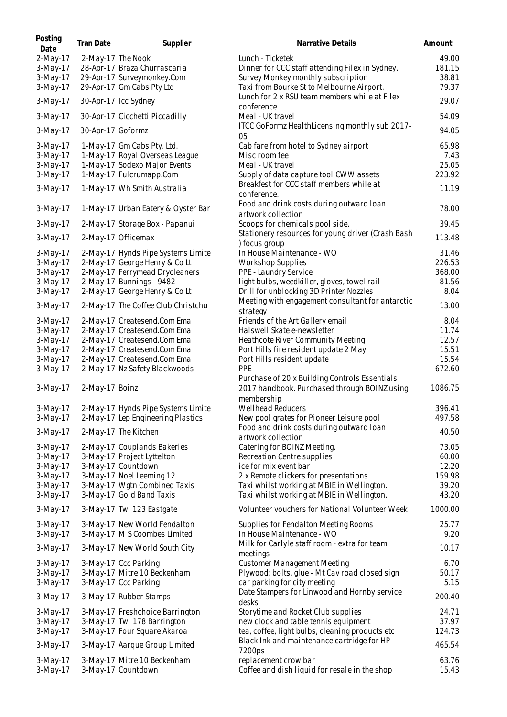| Posting<br>Date          | Tran Date         | Supplier                                                 | Narrative Details                                                                                           | Amount         |
|--------------------------|-------------------|----------------------------------------------------------|-------------------------------------------------------------------------------------------------------------|----------------|
| $2-May-17$               |                   | 2-May-17 The Nook                                        | Lunch - Ticketek                                                                                            | 49.00          |
| $3-May-17$               |                   | 28-Apr-17 Braza Churrascaria                             | Dinner for CCC staff attending Filex in Sydney.                                                             | 181.15         |
| $3-May-17$               |                   | 29-Apr-17 Surveymonkey.Com                               | Survey Monkey monthly subscription                                                                          | 38.81          |
| $3-May-17$               |                   | 29-Apr-17 Gm Cabs Pty Ltd                                | Taxi from Bourke St to Melbourne Airport.<br>Lunch for 2 x RSU team members while at Filex                  | 79.37          |
| $3-May-17$               |                   | 30-Apr-17 Icc Sydney                                     | conference                                                                                                  | 29.07          |
| $3-May-17$               |                   | 30-Apr-17 Cicchetti Piccadilly                           | Meal - UK travel<br>ITCC GoFormz HealthLicensing monthly sub 2017-                                          | 54.09          |
| 3-May-17                 | 30-Apr-17 Goformz |                                                          | 05                                                                                                          | 94.05          |
| $3-May-17$               |                   | 1-May-17 Gm Cabs Pty. Ltd.                               | Cab fare from hotel to Sydney airport                                                                       | 65.98          |
| $3-May-17$               |                   | 1-May-17 Royal Overseas League                           | Misc room fee                                                                                               | 7.43           |
| $3-May-17$               |                   | 1-May-17 Sodexo Major Events                             | Meal - UK travel                                                                                            | 25.05          |
| $3-May-17$               |                   | 1-May-17 Fulcrumapp.Com                                  | Supply of data capture tool CWW assets<br>Breakfest for CCC staff members while at                          | 223.92         |
| $3-May-17$               |                   | 1-May-17 Wh Smith Australia                              | conference.                                                                                                 | 11.19          |
| 3-May-17                 |                   | 1-May-17 Urban Eatery & Oyster Bar                       | Food and drink costs during outward loan<br>artwork collection                                              | 78.00          |
| $3-May-17$               |                   | 2-May-17 Storage Box - Papanui                           | Scoops for chemicals pool side.                                                                             | 39.45          |
| 3-May-17                 |                   | 2-May-17 Officemax                                       | Stationery resources for young driver (Crash Bash<br>) focus group                                          | 113.48         |
| $3-May-17$               |                   | 2-May-17 Hynds Pipe Systems Limite                       | In House Maintenance - WO                                                                                   | 31.46          |
| $3-May-17$               |                   | 2-May-17 George Henry & Co Lt                            | <b>Workshop Supplies</b>                                                                                    | 226.53         |
| $3-May-17$               |                   | 2-May-17 Ferrymead Drycleaners                           | PPE - Laundry Service                                                                                       | 368.00         |
| $3-May-17$               |                   | 2-May-17 Bunnings - 9482                                 | light bulbs, weedkiller, gloves, towel rail                                                                 | 81.56          |
| $3-May-17$               |                   | 2-May-17 George Henry & Co Lt                            | Drill for unblocking 3D Printer Nozzles                                                                     | 8.04           |
| $3-May-17$               |                   | 2-May-17 The Coffee Club Christchu                       | Meeting with engagement consultant for antarctic<br>strategy                                                | 13.00          |
| $3-May-17$               |                   | 2-May-17 Createsend.Com Ema                              | Friends of the Art Gallery email                                                                            | 8.04           |
| $3-May-17$               |                   | 2-May-17 Createsend.Com Ema                              | Halswell Skate e-newsletter                                                                                 | 11.74          |
| $3-May-17$               |                   | 2-May-17 Createsend.Com Ema                              | Heathcote River Community Meeting                                                                           | 12.57          |
| $3-May-17$               |                   | 2-May-17 Createsend.Com Ema                              | Port Hills fire resident update 2 May                                                                       | 15.51          |
| $3-May-17$               |                   | 2-May-17 Createsend.Com Ema                              | Port Hills resident update                                                                                  | 15.54          |
| $3-May-17$               |                   | 2-May-17 Nz Safety Blackwoods                            | <b>PPE</b>                                                                                                  | 672.60         |
| $3-May-17$               | 2-May-17 Boinz    |                                                          | Purchase of 20 x Building Controls Essentials<br>2017 handbook. Purchased through BOINZ using<br>membership | 1086.75        |
| $3-May-17$               |                   | 2-May-17 Hynds Pipe Systems Limite                       | <b>Wellhead Reducers</b>                                                                                    | 396.41         |
| $3-May-17$               |                   | 2-May-17 Lep Engineering Plastics                        | New pool grates for Pioneer Leisure pool                                                                    | 497.58         |
| $3-May-17$               |                   | 2-May-17 The Kitchen                                     | Food and drink costs during outward loan                                                                    | 40.50          |
|                          |                   |                                                          | artwork collection                                                                                          |                |
| $3-May-17$               |                   | 2-May-17 Couplands Bakeries                              | Catering for BOINZ Meeting.                                                                                 | 73.05          |
| $3-May-17$               |                   | 3-May-17 Project Lyttelton                               | Recreation Centre supplies                                                                                  | 60.00          |
| $3-May-17$               |                   | 3-May-17 Countdown                                       | ice for mix event bar                                                                                       | 12.20          |
| $3-May-17$               |                   | 3-May-17 Noel Leeming 12                                 | 2 x Remote clickers for presentations                                                                       | 159.98         |
| $3-May-17$<br>$3-May-17$ |                   | 3-May-17 Wgtn Combined Taxis<br>3-May-17 Gold Band Taxis | Taxi whilst working at MBIE in Wellington.<br>Taxi whilst working at MBIE in Wellington.                    | 39.20<br>43.20 |
| $3-May-17$               |                   | 3-May-17 Twl 123 Eastgate                                | Volunteer vouchers for National Volunteer Week                                                              | 1000.00        |
| $3-May-17$               |                   | 3-May-17 New World Fendalton                             | Supplies for Fendalton Meeting Rooms                                                                        | 25.77          |
| $3-May-17$               |                   | 3-May-17 M S Coombes Limited                             | In House Maintenance - WO<br>Milk for Carlyle staff room - extra for team                                   | 9.20           |
| $3-May-17$               |                   | 3-May-17 New World South City                            | meetings                                                                                                    | 10.17          |
| $3-May-17$               |                   | 3-May-17 Ccc Parking                                     | Customer Management Meeting                                                                                 | 6.70           |
| $3-May-17$               |                   | 3-May-17 Mitre 10 Beckenham                              | Plywood; bolts, glue - Mt Cav road closed sign                                                              | 50.17          |
| 3-May-17                 |                   | 3-May-17 Ccc Parking                                     | car parking for city meeting                                                                                | 5.15           |
| $3-May-17$               |                   | 3-May-17 Rubber Stamps                                   | Date Stampers for Linwood and Hornby service<br>desks                                                       | 200.40         |
| $3-May-17$               |                   | 3-May-17 Freshchoice Barrington                          | Storytime and Rocket Club supplies                                                                          | 24.71          |
| $3-May-17$               |                   | 3-May-17 Twl 178 Barrington                              | new clock and table tennis equipment                                                                        | 37.97          |
| $3-May-17$               |                   | 3-May-17 Four Square Akaroa                              | tea, coffee, light bulbs, cleaning products etc                                                             | 124.73         |
| $3-May-17$               |                   | 3-May-17 Aarque Group Limited                            | Black Ink and maintenance cartridge for HP<br>7200ps                                                        | 465.54         |
| $3-May-17$               |                   | 3-May-17 Mitre 10 Beckenham                              | replacement crow bar                                                                                        | 63.76          |
| $3-May-17$               |                   | 3-May-17 Countdown                                       | Coffee and dish liquid for resale in the shop                                                               | 15.43          |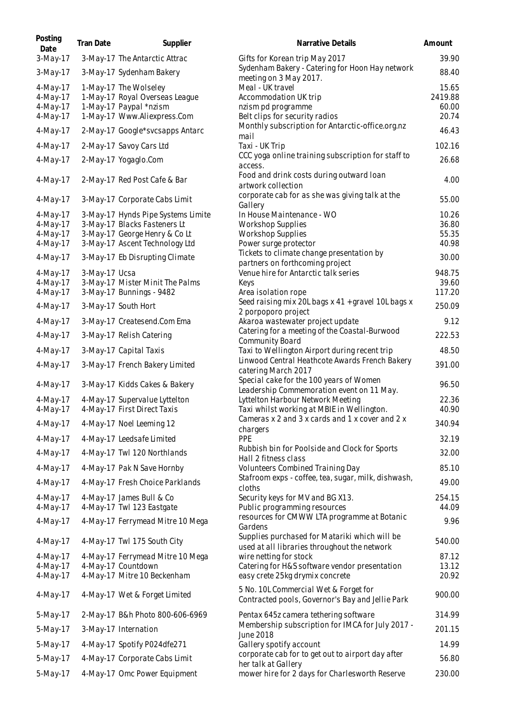| Posting<br>Date         | Tran Date     | Supplier                                                    | Narrative Details                                                                         | Amount          |
|-------------------------|---------------|-------------------------------------------------------------|-------------------------------------------------------------------------------------------|-----------------|
| $3-May-17$              |               | 3-May-17 The Antarctic Attrac                               | Gifts for Korean trip May 2017                                                            | 39.90           |
| $3-May-17$              |               | 3-May-17 Sydenham Bakery                                    | Sydenham Bakery - Catering for Hoon Hay network<br>meeting on 3 May 2017.                 | 88.40           |
| $4$ -May-17             |               | 1-May-17 The Wolseley                                       | Meal - UK travel                                                                          | 15.65           |
| 4-May-17                |               | 1-May-17 Royal Overseas League                              | Accommodation UK trip                                                                     | 2419.88         |
| $4$ -May-17<br>4-May-17 |               | 1-May-17 Paypal *nzism<br>1-May-17 Www.Aliexpress.Com       | nzism pd programme<br>Belt clips for security radios                                      | 60.00<br>20.74  |
|                         |               |                                                             | Monthly subscription for Antarctic-office.org.nz                                          |                 |
| 4-May-17                |               | 2-May-17 Google*svcsapps Antarc                             | mail                                                                                      | 46.43           |
| $4$ -May-17             |               | 2-May-17 Savoy Cars Ltd                                     | Taxi - UK Trip                                                                            | 102.16          |
| 4-May-17                |               | 2-May-17 Yogaglo.Com                                        | CCC yoga online training subscription for staff to<br>access.                             | 26.68           |
| 4-May-17                |               | 2-May-17 Red Post Cafe & Bar                                | Food and drink costs during outward loan<br>artwork collection                            | 4.00            |
| 4-May-17                |               | 3-May-17 Corporate Cabs Limit                               | corporate cab for as she was giving talk at the<br>Gallery                                | 55.00           |
| $4$ -May-17             |               | 3-May-17 Hynds Pipe Systems Limite                          | In House Maintenance - WO                                                                 | 10.26           |
| $4$ -May-17             |               | 3-May-17 Blacks Fasteners Lt                                | <b>Workshop Supplies</b>                                                                  | 36.80           |
| $4$ -May-17             |               | 3-May-17 George Henry & Co Lt                               | Workshop Supplies                                                                         | 55.35           |
| 4-May-17                |               | 3-May-17 Ascent Technology Ltd                              | Power surge protector<br>Tickets to climate change presentation by                        | 40.98           |
| 4-May-17                |               | 3-May-17 Eb Disrupting Climate                              | partners on forthcoming project                                                           | 30.00           |
| $4$ -May-17             | 3-May-17 Ucsa |                                                             | Venue hire for Antarctic talk series                                                      | 948.75          |
| $4$ -May-17<br>4-May-17 |               | 3-May-17 Mister Minit The Palms<br>3-May-17 Bunnings - 9482 | Keys<br>Area isolation rope                                                               | 39.60<br>117.20 |
|                         |               |                                                             | Seed raising mix 20L bags x 41 + gravel 10L bags x                                        |                 |
| 4-May-17                |               | 3-May-17 South Hort                                         | 2 porpoporo project                                                                       | 250.09          |
| 4-May-17                |               | 3-May-17 Createsend.Com Ema                                 | Akaroa wastewater project update                                                          | 9.12            |
| 4-May-17                |               | 3-May-17 Relish Catering                                    | Catering for a meeting of the Coastal-Burwood<br><b>Community Board</b>                   | 222.53          |
| 4-May-17                |               | 3-May-17 Capital Taxis                                      | Taxi to Wellington Airport during recent trip                                             | 48.50           |
| $4$ -May-17             |               | 3-May-17 French Bakery Limited                              | Linwood Central Heathcote Awards French Bakery<br>catering March 2017                     | 391.00          |
| 4-May-17                |               | 3-May-17 Kidds Cakes & Bakery                               | Special cake for the 100 years of Women<br>Leadership Commemoration event on 11 May.      | 96.50           |
| $4$ -May-17             |               | 4-May-17 Supervalue Lyttelton                               | Lyttelton Harbour Network Meeting                                                         | 22.36           |
| $4$ -May-17             |               | 4-May-17 First Direct Taxis                                 | Taxi whilst working at MBIE in Wellington.                                                | 40.90           |
| 4-May-17                |               | 4-May-17 Noel Leeming 12                                    | Cameras x 2 and 3 x cards and 1 x cover and 2 x<br>chargers                               | 340.94          |
| $4$ -May-17             |               | 4-May-17 Leedsafe Limited                                   | <b>PPE</b>                                                                                | 32.19           |
| 4-May-17                |               | 4-May-17 Twl 120 Northlands                                 | Rubbish bin for Poolside and Clock for Sports<br>Hall 2 fitness class                     | 32.00           |
| $4$ -May-17             |               | 4-May-17 Pak N Save Hornby                                  | Volunteers Combined Training Day                                                          | 85.10           |
| $4$ -May-17             |               | 4-May-17 Fresh Choice Parklands                             | Stafroom exps - coffee, tea, sugar, milk, dishwash,                                       | 49.00           |
| $4$ -May-17             |               | 4-May-17 James Bull & Co                                    | cloths<br>Security keys for MV and BG X13.                                                | 254.15          |
| 4-May-17                |               | 4-May-17 Twl 123 Eastgate                                   | Public programming resources                                                              | 44.09           |
| 4-May-17                |               | 4-May-17 Ferrymead Mitre 10 Mega                            | resources for CMWW LTA programme at Botanic<br>Gardens                                    | 9.96            |
| 4-May-17                |               | 4-May-17 Twl 175 South City                                 | Supplies purchased for Matariki which will be                                             | 540.00          |
| $4$ -May-17             |               | 4-May-17 Ferrymead Mitre 10 Mega                            | used at all libraries throughout the network<br>wire netting for stock                    | 87.12           |
| 4-May-17                |               | 4-May-17 Countdown                                          | Catering for H&S software vendor presentation                                             | 13.12           |
| $4$ -May-17             |               | 4-May-17 Mitre 10 Beckenham                                 | easy crete 25kg drymix concrete                                                           | 20.92           |
| 4-May-17                |               | 4-May-17 Wet & Forget Limited                               | 5 No. 10L Commercial Wet & Forget for<br>Contracted pools, Governor's Bay and Jellie Park | 900.00          |
| 5-May-17                |               | 2-May-17 B&h Photo 800-606-6969                             | Pentax 645z camera tethering software                                                     | 314.99          |
| 5-May-17                |               | 3-May-17 Internation                                        | Membership subscription for IMCA for July 2017 -                                          | 201.15          |
|                         |               |                                                             | June 2018                                                                                 |                 |
| 5-May-17                |               | 4-May-17 Spotify P024dfe271                                 | Gallery spotify account<br>corporate cab for to get out to airport day after              | 14.99           |
| 5-May-17                |               | 4-May-17 Corporate Cabs Limit                               | her talk at Gallery                                                                       | 56.80           |
| $5-May-17$              |               | 4-May-17 Omc Power Equipment                                | mower hire for 2 days for Charlesworth Reserve                                            | 230.00          |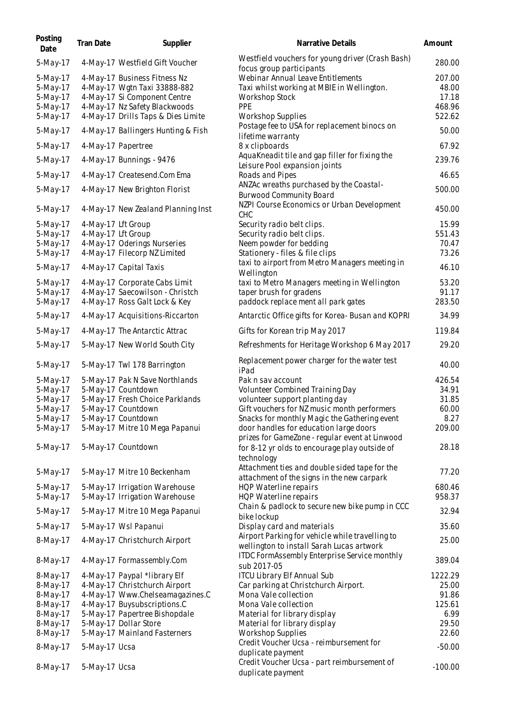| Posting<br>Date      | Tran Date     | Supplier                           | Narrative Details                                                                         | Amount            |
|----------------------|---------------|------------------------------------|-------------------------------------------------------------------------------------------|-------------------|
| 5-May-17             |               | 4-May-17 Westfield Gift Voucher    | Westfield vouchers for young driver (Crash Bash)<br>focus group participants              | 280.00            |
| 5-May-17             |               | 4-May-17 Business Fitness Nz       | Webinar Annual Leave Entitlements                                                         | 207.00            |
| $5-May-17$           |               | 4-May-17 Wgtn Taxi 33888-882       | Taxi whilst working at MBIE in Wellington.                                                | 48.00             |
| $5-May-17$           |               | 4-May-17 Si Component Centre       | <b>Workshop Stock</b>                                                                     | 17.18             |
| $5-May-17$           |               | 4-May-17 Nz Safety Blackwoods      | PPE                                                                                       | 468.96            |
| 5-May-17             |               | 4-May-17 Drills Taps & Dies Limite | <b>Workshop Supplies</b>                                                                  | 522.62            |
| 5-May-17             |               | 4-May-17 Ballingers Hunting & Fish | Postage fee to USA for replacement binocs on<br>lifetime warranty                         | 50.00             |
| 5-May-17             |               | 4-May-17 Papertree                 | 8 x clipboards                                                                            | 67.92             |
| 5-May-17             |               | 4-May-17 Bunnings - 9476           | AquaKneadit tile and gap filler for fixing the<br>Leisure Pool expansion joints           | 239.76            |
| 5-May-17             |               | 4-May-17 Createsend.Com Ema        | Roads and Pipes                                                                           | 46.65             |
| 5-May-17             |               | 4-May-17 New Brighton Florist      | ANZAc wreaths purchased by the Coastal-<br><b>Burwood Community Board</b>                 | 500.00            |
| 5-May-17             |               | 4-May-17 New Zealand Planning Inst | NZPI Course Economics or Urban Development<br>CHC                                         | 450.00            |
| $5-May-17$           |               | 4-May-17 Lft Group                 | Security radio belt clips.                                                                | 15.99             |
| 5-May-17             |               | 4-May-17 Lft Group                 | Security radio belt clips.                                                                | 551.43            |
| $5-May-17$           |               | 4-May-17 Oderings Nurseries        | Neem powder for bedding                                                                   | 70.47             |
| 5-May-17             |               | 4-May-17 Filecorp NZ Limited       | Stationery - files & file clips                                                           | 73.26             |
| $5-May-17$           |               | 4-May-17 Capital Taxis             | taxi to airport from Metro Managers meeting in<br>Wellington                              | 46.10             |
| 5-May-17             |               | 4-May-17 Corporate Cabs Limit      | taxi to Metro Managers meeting in Wellington                                              | 53.20             |
| $5-May-17$           |               | 4-May-17 Saecowilson - Christch    | taper brush for gradens                                                                   | 91.17             |
| 5-May-17             |               | 4-May-17 Ross Galt Lock & Key      | paddock replace ment all park gates                                                       | 283.50            |
| 5-May-17             |               | 4-May-17 Acquisitions-Riccarton    | Antarctic Office gifts for Korea-Busan and KOPRI                                          | 34.99             |
| 5-May-17             |               | 4-May-17 The Antarctic Attrac      | Gifts for Korean trip May 2017                                                            | 119.84            |
| 5-May-17             |               | 5-May-17 New World South City      | Refreshments for Heritage Workshop 6 May 2017                                             | 29.20             |
| 5-May-17             |               | 5-May-17 Twl 178 Barrington        | Replacement power charger for the water test<br>iPad                                      | 40.00             |
| $5-May-17$           |               | 5-May-17 Pak N Save Northlands     | Pak n sav account                                                                         | 426.54            |
| $5-May-17$           |               | 5-May-17 Countdown                 | Volunteer Combined Training Day                                                           | 34.91             |
| $5-May-17$           |               | 5-May-17 Fresh Choice Parklands    | volunteer support planting day                                                            | 31.85             |
| 5-May-17             |               | 5-May-17 Countdown                 | Gift vouchers for NZ music month performers                                               | 60.00             |
| $5-May-17$           |               | 5-May-17 Countdown                 | Snacks for monthly Magic the Gathering event                                              | 8.27              |
| $5-May-17$           |               | 5-May-17 Mitre 10 Mega Papanui     | door handles for education large doors<br>prizes for GameZone - regular event at Linwood  | 209.00            |
| $5-May-17$           |               | 5-May-17 Countdown                 | for 8-12 yr olds to encourage play outside of<br>technology                               | 28.18             |
| 5-May-17             |               | 5-May-17 Mitre 10 Beckenham        | Attachment ties and double sided tape for the                                             | 77.20             |
| $5-May-17$           |               | 5-May-17 Irrigation Warehouse      | attachment of the signs in the new carpark<br>HQP Waterline repairs                       | 680.46            |
| 5-May-17             |               | 5-May-17 Irrigation Warehouse      | HQP Waterline repairs                                                                     | 958.37            |
| 5-May-17             |               | 5-May-17 Mitre 10 Mega Papanui     | Chain & padlock to secure new bike pump in CCC                                            | 32.94             |
| 5-May-17             |               | 5-May-17 Wsl Papanui               | bike lockup<br>Display card and materials                                                 | 35.60             |
|                      |               |                                    | Airport Parking for vehicle while travelling to                                           | 25.00             |
| 8-May-17             |               | 4-May-17 Christchurch Airport      | wellington to install Sarah Lucas artwork<br>ITDC FormAssembly Enterprise Service monthly |                   |
| 8-May-17             |               | 4-May-17 Formassembly.Com          | sub 2017-05                                                                               | 389.04            |
| 8-May-17             |               | 4-May-17 Paypal *library Elf       | <b>ITCU Library Elf Annual Sub</b>                                                        | 1222.29           |
| 8-May-17             |               | 4-May-17 Christchurch Airport      | Car parking at Christchurch Airport.                                                      | 25.00             |
| 8-May-17             |               | 4-May-17 Www.Chelseamagazines.C    | Mona Vale collection                                                                      | 91.86             |
| 8-May-17             |               | 4-May-17 Buysubscriptions.C        | Mona Vale collection                                                                      | 125.61            |
| 8-May-17             |               | 5-May-17 Papertree Bishopdale      | Material for library display                                                              | 6.99              |
| 8-May-17<br>8-May-17 |               | 5-May-17 Dollar Store              | Material for library display                                                              | 29.50             |
|                      |               | 5-May-17 Mainland Fasterners       | <b>Workshop Supplies</b><br>Credit Voucher Ucsa - reimbursement for                       | 22.60<br>$-50.00$ |
| 8-May-17             | 5-May-17 Ucsa |                                    | duplicate payment                                                                         |                   |
| 8-May-17             | 5-May-17 Ucsa |                                    | Credit Voucher Ucsa - part reimbursement of<br>duplicate payment                          | $-100.00$         |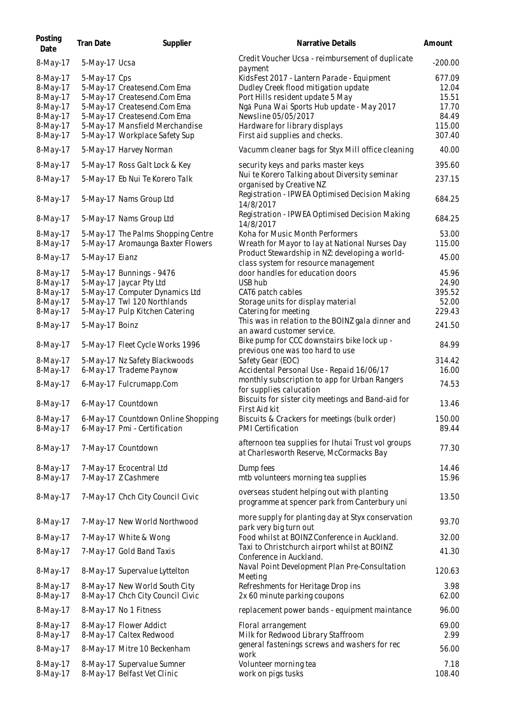| Posting<br>Date                                                                    | <b>Tran Date</b> | Supplier                                                                                                                                                                                    | Narrative Details                                                                                                                                                                                                                                             | Amount                                                         |
|------------------------------------------------------------------------------------|------------------|---------------------------------------------------------------------------------------------------------------------------------------------------------------------------------------------|---------------------------------------------------------------------------------------------------------------------------------------------------------------------------------------------------------------------------------------------------------------|----------------------------------------------------------------|
| 8-May-17                                                                           | 5-May-17 Ucsa    |                                                                                                                                                                                             | Credit Voucher Ucsa - reimbursement of duplicate<br>payment                                                                                                                                                                                                   | $-200.00$                                                      |
| 8-May-17<br>8-May-17<br>8-May-17<br>8-May-17<br>$8-May-17$<br>8-May-17<br>8-May-17 | 5-May-17 Cps     | 5-May-17 Createsend.Com Ema<br>5-May-17 Createsend.Com Ema<br>5-May-17 Createsend.Com Ema<br>5-May-17 Createsend.Com Ema<br>5-May-17 Mansfield Merchandise<br>5-May-17 Workplace Safety Sup | KidsFest 2017 - Lantern Parade - Equipment<br>Dudley Creek flood mitigation update<br>Port Hills resident update 5 May<br>Ngā Puna Wai Sports Hub update - May 2017<br>Newsline 05/05/2017<br>Hardware for library displays<br>First aid supplies and checks. | 677.09<br>12.04<br>15.51<br>17.70<br>84.49<br>115.00<br>307.40 |
| 8-May-17                                                                           |                  | 5-May-17 Harvey Norman                                                                                                                                                                      | Vacumm cleaner bags for Styx Mill office cleaning                                                                                                                                                                                                             | 40.00                                                          |
| 8-May-17                                                                           |                  | 5-May-17 Ross Galt Lock & Key                                                                                                                                                               | security keys and parks master keys                                                                                                                                                                                                                           | 395.60                                                         |
| 8-May-17                                                                           |                  | 5-May-17 Eb Nui Te Korero Talk                                                                                                                                                              | Nui te Korero Talking about Diversity seminar<br>organised by Creative NZ                                                                                                                                                                                     | 237.15                                                         |
| 8-May-17                                                                           |                  | 5-May-17 Nams Group Ltd                                                                                                                                                                     | Registration - IPWEA Optimised Decision Making<br>14/8/2017                                                                                                                                                                                                   | 684.25                                                         |
| 8-May-17                                                                           |                  | 5-May-17 Nams Group Ltd                                                                                                                                                                     | Registration - IPWEA Optimised Decision Making<br>14/8/2017                                                                                                                                                                                                   | 684.25                                                         |
| 8-May-17<br>8-May-17                                                               |                  | 5-May-17 The Palms Shopping Centre<br>5-May-17 Aromaunga Baxter Flowers                                                                                                                     | Koha for Music Month Performers<br>Wreath for Mayor to lay at National Nurses Day<br>Product Stewardship in NZ: developing a world-                                                                                                                           | 53.00<br>115.00                                                |
| 8-May-17<br>8-May-17                                                               | 5-May-17 Eianz   | 5-May-17 Bunnings - 9476                                                                                                                                                                    | class system for resource management<br>door handles for education doors                                                                                                                                                                                      | 45.00<br>45.96                                                 |
| 8-May-17<br>8-May-17<br>8-May-17                                                   |                  | 5-May-17 Jaycar Pty Ltd<br>5-May-17 Computer Dynamics Ltd<br>5-May-17 Twl 120 Northlands                                                                                                    | USB hub<br>CAT6 patch cables<br>Storage units for display material                                                                                                                                                                                            | 24.90<br>395.52<br>52.00                                       |
| 8-May-17<br>8-May-17                                                               | 5-May-17 Boinz   | 5-May-17 Pulp Kitchen Catering                                                                                                                                                              | Catering for meeting<br>This was in relation to the BOINZ gala dinner and                                                                                                                                                                                     | 229.43<br>241.50                                               |
| 8-May-17                                                                           |                  | 5-May-17 Fleet Cycle Works 1996                                                                                                                                                             | an award customer service.<br>Bike pump for CCC downstairs bike lock up -                                                                                                                                                                                     | 84.99                                                          |
| 8-May-17<br>8-May-17                                                               |                  | 5-May-17 Nz Safety Blackwoods<br>6-May-17 Trademe Paynow                                                                                                                                    | previous one was too hard to use<br>Safety Gear (EOC)<br>Accidental Personal Use - Repaid 16/06/17                                                                                                                                                            | 314.42<br>16.00                                                |
| 8-May-17                                                                           |                  | 6-May-17 Fulcrumapp.Com                                                                                                                                                                     | monthly subscription to app for Urban Rangers<br>for supplies calucation                                                                                                                                                                                      | 74.53                                                          |
| 8-May-17                                                                           |                  | 6-May-17 Countdown                                                                                                                                                                          | Biscuits for sister city meetings and Band-aid for<br>First Aid kit                                                                                                                                                                                           | 13.46                                                          |
| 8-May-17<br>$8-May-17$                                                             |                  | 6-May-17 Countdown Online Shopping<br>6-May-17 Pmi - Certification                                                                                                                          | Biscuits & Crackers for meetings (bulk order)<br><b>PMI Certification</b>                                                                                                                                                                                     | 150.00<br>89.44                                                |
| 8-May-17                                                                           |                  | 7-May-17 Countdown                                                                                                                                                                          | afternoon tea supplies for Ihutai Trust vol groups<br>at Charlesworth Reserve, McCormacks Bay                                                                                                                                                                 | 77.30                                                          |
| 8-May-17<br>$8-May-17$                                                             |                  | 7-May-17 Ecocentral Ltd<br>7-May-17 Z Cashmere                                                                                                                                              | Dump fees<br>mtb volunteers morning tea supplies                                                                                                                                                                                                              | 14.46<br>15.96                                                 |
| 8-May-17                                                                           |                  | 7-May-17 Chch City Council Civic                                                                                                                                                            | overseas student helping out with planting<br>programme at spencer park from Canterbury uni                                                                                                                                                                   | 13.50                                                          |
| 8-May-17                                                                           |                  | 7-May-17 New World Northwood                                                                                                                                                                | more supply for planting day at Styx conservation<br>park very big turn out                                                                                                                                                                                   | 93.70                                                          |
| 8-May-17                                                                           |                  | 7-May-17 White & Wong                                                                                                                                                                       | Food whilst at BOINZ Conference in Auckland.                                                                                                                                                                                                                  | 32.00                                                          |
| 8-May-17                                                                           |                  | 7-May-17 Gold Band Taxis                                                                                                                                                                    | Taxi to Christchurch airport whilst at BOINZ<br>Conference in Auckland.                                                                                                                                                                                       | 41.30                                                          |
| 8-May-17                                                                           |                  | 8-May-17 Supervalue Lyttelton                                                                                                                                                               | Naval Point Development Plan Pre-Consultation<br>Meeting                                                                                                                                                                                                      | 120.63                                                         |
| 8-May-17<br>8-May-17                                                               |                  | 8-May-17 New World South City<br>8-May-17 Chch City Council Civic                                                                                                                           | Refreshments for Heritage Drop ins<br>2x 60 minute parking coupons                                                                                                                                                                                            | 3.98<br>62.00                                                  |
| 8-May-17                                                                           |                  | 8-May-17 No 1 Fitness                                                                                                                                                                       | replacement power bands - equipment maintance                                                                                                                                                                                                                 | 96.00                                                          |
| 8-May-17<br>8-May-17                                                               |                  | 8-May-17 Flower Addict<br>8-May-17 Caltex Redwood                                                                                                                                           | Floral arrangement<br>Milk for Redwood Library Staffroom                                                                                                                                                                                                      | 69.00<br>2.99                                                  |
| 8-May-17                                                                           |                  | 8-May-17 Mitre 10 Beckenham                                                                                                                                                                 | general fastenings screws and washers for rec<br>work                                                                                                                                                                                                         | 56.00                                                          |
| 8-May-17<br>8-May-17                                                               |                  | 8-May-17 Supervalue Sumner<br>8-May-17 Belfast Vet Clinic                                                                                                                                   | Volunteer morning tea<br>work on pigs tusks                                                                                                                                                                                                                   | 7.18<br>108.40                                                 |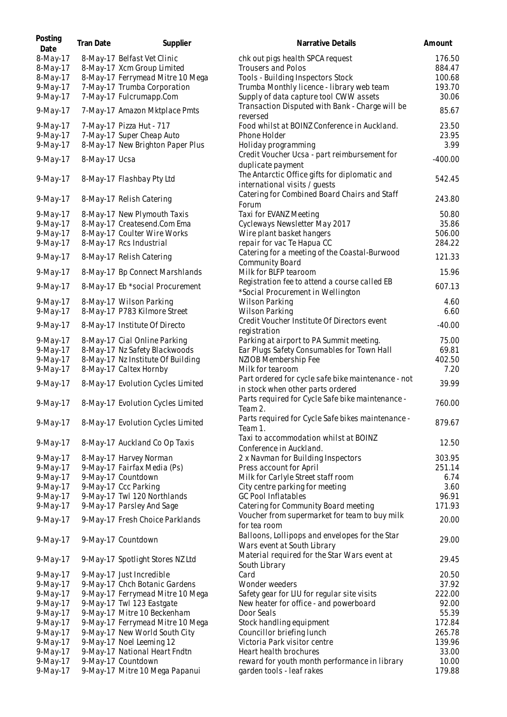| Posting<br>Date      | Tran Date     | Supplier                                                  | Narrative Details                                                                                   | Amount           |
|----------------------|---------------|-----------------------------------------------------------|-----------------------------------------------------------------------------------------------------|------------------|
| 8-May-17<br>8-May-17 |               | 8-May-17 Belfast Vet Clinic<br>8-May-17 Xcm Group Limited | chk out pigs health SPCA request<br><b>Trousers and Polos</b>                                       | 176.50<br>884.47 |
| $8-May-17$           |               | 8-May-17 Ferrymead Mitre 10 Mega                          | Tools - Building Inspectors Stock                                                                   | 100.68           |
| $9-May-17$           |               | 7-May-17 Trumba Corporation                               | Trumba Monthly licence - library web team                                                           | 193.70           |
| $9-May-17$           |               | 7-May-17 Fulcrumapp.Com                                   | Supply of data capture tool CWW assets                                                              | 30.06            |
| 9-May-17             |               | 7-May-17 Amazon Mktplace Pmts                             | Transaction Disputed with Bank - Charge will be<br>reversed                                         | 85.67            |
| $9-May-17$           |               | 7-May-17 Pizza Hut - 717                                  | Food whilst at BOINZ Conference in Auckland.                                                        | 23.50            |
| $9-May-17$           |               | 7-May-17 Super Cheap Auto                                 | Phone Holder                                                                                        | 23.95            |
| $9-May-17$           |               | 8-May-17 New Brighton Paper Plus                          | Holiday programming                                                                                 | 3.99             |
| 9-May-17             | 8-May-17 Ucsa |                                                           | Credit Voucher Ucsa - part reimbursement for                                                        | $-400.00$        |
| 9-May-17             |               | 8-May-17 Flashbay Pty Ltd                                 | duplicate payment<br>The Antarctic Office gifts for diplomatic and<br>international visits / guests | 542.45           |
| 9-May-17             |               | 8-May-17 Relish Catering                                  | Catering for Combined Board Chairs and Staff                                                        | 243.80           |
|                      |               |                                                           | Forum                                                                                               |                  |
| $9-May-17$           |               | 8-May-17 New Plymouth Taxis                               | Taxi for EVANZ Meeting                                                                              | 50.80            |
| $9-May-17$           |               | 8-May-17 Createsend.Com Ema                               | Cycleways Newsletter May 2017                                                                       | 35.86            |
| $9-May-17$           |               | 8-May-17 Coulter Wire Works                               | Wire plant basket hangers                                                                           | 506.00           |
| $9-May-17$           |               | 8-May-17 Rcs Industrial                                   | repair for vac Te Hapua CC                                                                          | 284.22           |
| 9-May-17             |               | 8-May-17 Relish Catering                                  | Catering for a meeting of the Coastal-Burwood<br>Community Board                                    | 121.33           |
| 9-May-17             |               | 8-May-17 Bp Connect Marshlands                            | Milk for BLFP tearoom                                                                               | 15.96            |
| 9-May-17             |               | 8-May-17 Eb *social Procurement                           | Registration fee to attend a course called EB<br>*Social Procurement in Wellington                  | 607.13           |
| $9-May-17$           |               | 8-May-17 Wilson Parking                                   | <b>Wilson Parking</b>                                                                               | 4.60             |
| 9-May-17             |               | 8-May-17 P783 Kilmore Street                              | Wilson Parking                                                                                      | 6.60             |
| 9-May-17             |               | 8-May-17 Institute Of Directo                             | Credit Voucher Institute Of Directors event<br>registration                                         | $-40.00$         |
| $9-May-17$           |               | 8-May-17 Cial Online Parking                              | Parking at airport to PA Summit meeting.                                                            | 75.00            |
| $9-May-17$           |               | 8-May-17 Nz Safety Blackwoods                             | Ear Plugs Safety Consumables for Town Hall                                                          | 69.81            |
| $9-May-17$           |               | 8-May-17 Nz Institute Of Building                         | NZIOB Membership Fee                                                                                | 402.50           |
| 9-May-17             |               | 8-May-17 Caltex Hornby                                    | Milk for tearoom                                                                                    | 7.20             |
| 9-May-17             |               | 8-May-17 Evolution Cycles Limited                         | Part ordered for cycle safe bike maintenance - not                                                  | 39.99            |
|                      |               |                                                           | in stock when other parts ordered                                                                   |                  |
| 9-May-17             |               | 8-May-17 Evolution Cycles Limited                         | Parts required for Cycle Safe bike maintenance -<br>Team 2.                                         | 760.00           |
| 9-May-17             |               | 8-May-17 Evolution Cycles Limited                         | Parts required for Cycle Safe bikes maintenance -<br>Team 1.                                        | 879.67           |
| 9-May-17             |               | 8-May-17 Auckland Co Op Taxis                             | Taxi to accommodation whilst at BOINZ<br>Conference in Auckland.                                    | 12.50            |
| $9-May-17$           |               | 8-May-17 Harvey Norman                                    | 2 x Navman for Building Inspectors                                                                  | 303.95           |
| $9-May-17$           |               | 9-May-17 Fairfax Media (Ps)                               | Press account for April                                                                             | 251.14           |
| $9-May-17$           |               | 9-May-17 Countdown                                        | Milk for Carlyle Street staff room                                                                  | 6.74             |
| 9-May-17             |               | 9-May-17 Ccc Parking                                      | City centre parking for meeting                                                                     | 3.60             |
| $9-May-17$           |               | 9-May-17 Twl 120 Northlands                               | <b>GC Pool Inflatables</b>                                                                          | 96.91            |
| $9-May-17$           |               | 9-May-17 Parsley And Sage                                 | Catering for Community Board meeting                                                                | 171.93           |
| 9-May-17             |               | 9-May-17 Fresh Choice Parklands                           | Voucher from supermarket for team to buy milk<br>for tea room                                       | 20.00            |
| 9-May-17             |               | 9-May-17 Countdown                                        | Balloons, Lollipops and envelopes for the Star<br>Wars event at South Library                       | 29.00            |
| 9-May-17             |               | 9-May-17 Spotlight Stores NZ Ltd                          | Material required for the Star Wars event at<br>South Library                                       | 29.45            |
| $9-May-17$           |               | 9-May-17 Just Incredible                                  | Card                                                                                                | 20.50            |
| $9-May-17$           |               | 9-May-17 Chch Botanic Gardens                             | Wonder weeders                                                                                      | 37.92            |
| 9-May-17             |               | 9-May-17 Ferrymead Mitre 10 Mega                          | Safety gear for LIU for regular site visits                                                         | 222.00           |
| $9-May-17$           |               | 9-May-17 Twl 123 Eastgate                                 | New heater for office - and powerboard                                                              | 92.00            |
| $9-May-17$           |               | 9-May-17 Mitre 10 Beckenham                               | Door Seals                                                                                          | 55.39            |
| $9-May-17$           |               | 9-May-17 Ferrymead Mitre 10 Mega                          | Stock handling equipment                                                                            | 172.84           |
| 9-May-17             |               | 9-May-17 New World South City                             | Councillor briefing lunch                                                                           | 265.78           |
| $9-May-17$           |               | 9-May-17 Noel Leeming 12                                  | Victoria Park visitor centre                                                                        | 139.96           |
| 9-May-17             |               | 9-May-17 National Heart Fndtn                             | Heart health brochures                                                                              | 33.00            |
| $9-May-17$           |               | 9-May-17 Countdown                                        | reward for youth month performance in library                                                       | 10.00            |
| 9-May-17             |               | 9-May-17 Mitre 10 Mega Papanui                            | garden tools - leaf rakes                                                                           | 179.88           |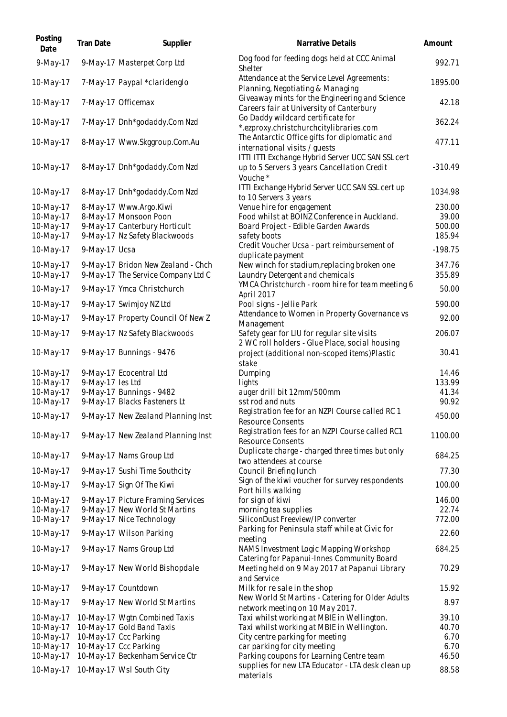| Posting<br>Date        | Tran Date        | Supplier                                                                 | Narrative Details                                                                                           | Amount           |
|------------------------|------------------|--------------------------------------------------------------------------|-------------------------------------------------------------------------------------------------------------|------------------|
| 9-May-17               |                  | 9-May-17 Masterpet Corp Ltd                                              | Dog food for feeding dogs held at CCC Animal<br><b>Shelter</b>                                              | 992.71           |
| 10-May-17              |                  | 7-May-17 Paypal *claridenglo                                             | Attendance at the Service Level Agreements:<br>Planning, Negotiating & Managing                             | 1895.00          |
| 10-May-17              |                  | 7-May-17 Officemax                                                       | Giveaway mints for the Engineering and Science<br>Careers fair at University of Canterbury                  | 42.18            |
| 10-May-17              |                  | 7-May-17 Dnh*godaddy.Com Nzd                                             | Go Daddy wildcard certificate for<br>*.ezproxy.christchurchcitylibraries.com                                | 362.24           |
| 10-May-17              |                  | 8-May-17 Www.Skggroup.Com.Au                                             | The Antarctic Office gifts for diplomatic and<br>international visits / guests                              | 477.11           |
| 10-May-17              |                  | 8-May-17 Dnh*godaddy.Com Nzd                                             | ITTI ITTI Exchange Hybrid Server UCC SAN SSL cert<br>up to 5 Servers 3 years Cancellation Credit<br>Vouche* | $-310.49$        |
| 10-May-17              |                  | 8-May-17 Dnh*godaddy.Com Nzd                                             | ITTI Exchange Hybrid Server UCC SAN SSL cert up<br>to 10 Servers 3 years                                    | 1034.98          |
| 10-May-17              |                  | 8-May-17 Www.Argo.Kiwi                                                   | Venue hire for engagement                                                                                   | 230.00           |
| 10-May-17              |                  | 8-May-17 Monsoon Poon                                                    | Food whilst at BOINZ Conference in Auckland.                                                                | 39.00            |
| 10-May-17              |                  | 9-May-17 Canterbury Horticult                                            | Board Project - Edible Garden Awards                                                                        | 500.00           |
| 10-May-17              |                  | 9-May-17 Nz Safety Blackwoods                                            | safety boots                                                                                                | 185.94           |
| 10-May-17              | 9-May-17 Ucsa    |                                                                          | Credit Voucher Ucsa - part reimbursement of                                                                 | $-198.75$        |
|                        |                  |                                                                          | duplicate payment                                                                                           |                  |
| 10-May-17<br>10-May-17 |                  | 9-May-17 Bridon New Zealand - Chch<br>9-May-17 The Service Company Ltd C | New winch for stadium, replacing broken one<br>Laundry Detergent and chemicals                              | 347.76<br>355.89 |
| 10-May-17              |                  | 9-May-17 Ymca Christchurch                                               | YMCA Christchurch - room hire for team meeting 6<br>April 2017                                              | 50.00            |
| 10-May-17              |                  | 9-May-17 Swimjoy NZ Ltd                                                  | Pool signs - Jellie Park                                                                                    | 590.00           |
| 10-May-17              |                  | 9-May-17 Property Council Of New Z                                       | Attendance to Women in Property Governance vs<br>Management                                                 | 92.00            |
| 10-May-17              |                  | 9-May-17 Nz Safety Blackwoods                                            | Safety gear for LIU for regular site visits<br>2 WC roll holders - Glue Place, social housing               | 206.07           |
| 10-May-17              |                  | 9-May-17 Bunnings - 9476                                                 | project (additional non-scoped items)Plastic<br>stake                                                       | 30.41            |
| 10-May-17              |                  | 9-May-17 Ecocentral Ltd                                                  | Dumping                                                                                                     | 14.46            |
| 10-May-17              | 9-May-17 les Ltd |                                                                          | lights                                                                                                      | 133.99           |
| 10-May-17              |                  | 9-May-17 Bunnings - 9482                                                 | auger drill bit 12mm/500mm                                                                                  | 41.34            |
| 10-May-17              |                  | 9-May-17 Blacks Fasteners Lt                                             | sst rod and nuts                                                                                            | 90.92            |
| 10-May-17              |                  | 9-May-17 New Zealand Planning Inst                                       | Registration fee for an NZPI Course called RC 1<br><b>Resource Consents</b>                                 | 450.00           |
| 10-May-17              |                  | 9-May-17 New Zealand Planning Inst                                       | Registration fees for an NZPI Course called RC1<br><b>Resource Consents</b>                                 | 1100.00          |
| 10-May-17              |                  | 9-May-17 Nams Group Ltd                                                  | Duplicate charge - charged three times but only<br>two attendees at course                                  | 684.25           |
| 10-May-17              |                  | 9-May-17 Sushi Time Southcity                                            | Council Briefing lunch                                                                                      | 77.30            |
| 10-May-17              |                  | 9-May-17 Sign Of The Kiwi                                                | Sign of the kiwi voucher for survey respondents<br>Port hills walking                                       | 100.00           |
| 10-May-17              |                  | 9-May-17 Picture Framing Services                                        | for sign of kiwi                                                                                            | 146.00           |
| 10-May-17              |                  | 9-May-17 New World St Martins                                            | morning tea supplies                                                                                        | 22.74            |
| 10-May-17              |                  | 9-May-17 Nice Technology                                                 | SiliconDust Freeview/IP converter                                                                           | 772.00           |
| 10-May-17              |                  | 9-May-17 Wilson Parking                                                  | Parking for Peninsula staff while at Civic for<br>meeting                                                   | 22.60            |
| 10-May-17              |                  | 9-May-17 Nams Group Ltd                                                  | NAMS Investment Logic Mapping Workshop<br>Catering for Papanui-Innes Community Board                        | 684.25           |
| 10-May-17              |                  | 9-May-17 New World Bishopdale                                            | Meeting held on 9 May 2017 at Papanui Library<br>and Service                                                | 70.29            |
| 10-May-17              |                  | 9-May-17 Countdown                                                       | Milk for resale in the shop                                                                                 | 15.92            |
| 10-May-17              |                  | 9-May-17 New World St Martins                                            | New World St Martins - Catering for Older Adults<br>network meeting on 10 May 2017.                         | 8.97             |
| 10-May-17              |                  | 10-May-17 Wgtn Combined Taxis                                            | Taxi whilst working at MBIE in Wellington.                                                                  | 39.10            |
| 10-May-17              |                  | 10-May-17 Gold Band Taxis                                                | Taxi whilst working at MBIE in Wellington.                                                                  | 40.70            |
| 10-May-17              |                  | 10-May-17 Ccc Parking                                                    | City centre parking for meeting                                                                             | 6.70             |
| 10-May-17              |                  | 10-May-17 Ccc Parking                                                    | car parking for city meeting                                                                                | 6.70             |
| 10-May-17              |                  | 10-May-17 Beckenham Service Ctr                                          | Parking coupons for Learning Centre team                                                                    | 46.50            |
| 10-May-17              |                  | 10-May-17 Wsl South City                                                 | supplies for new LTA Educator - LTA desk clean up<br>materials                                              | 88.58            |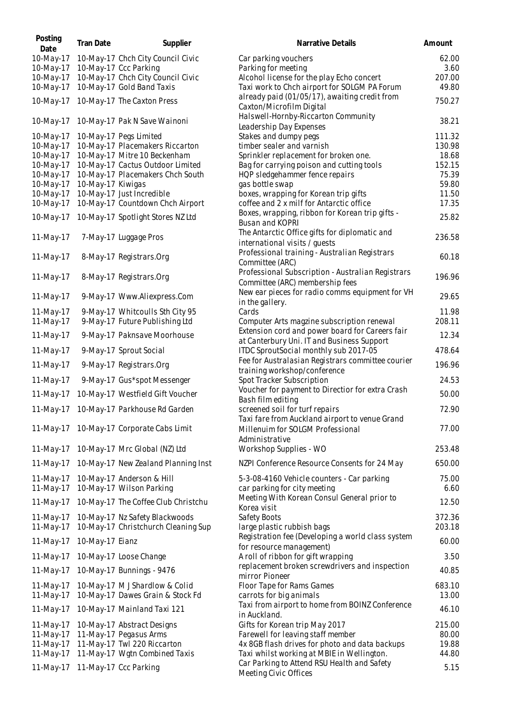| Posting<br>Date        | Tran Date         | Supplier                                                           | Narrative Details                                                                             | Amount          |
|------------------------|-------------------|--------------------------------------------------------------------|-----------------------------------------------------------------------------------------------|-----------------|
| 10-May-17              |                   | 10-May-17 Chch City Council Civic                                  | Car parking vouchers                                                                          | 62.00           |
| 10-May-17              |                   | 10-May-17 Ccc Parking                                              | Parking for meeting                                                                           | 3.60            |
| 10-May-17              |                   | 10-May-17 Chch City Council Civic                                  | Alcohol license for the play Echo concert                                                     | 207.00          |
| 10-May-17              |                   | 10-May-17 Gold Band Taxis                                          | Taxi work to Chch airport for SOLGM PA Forum                                                  | 49.80           |
| 10-May-17              |                   | 10-May-17 The Caxton Press                                         | already paid (01/05/17), awaiting credit from<br>Caxton/Microfilm Digital                     | 750.27          |
| 10-May-17              |                   | 10-May-17 Pak N Save Wainoni                                       | Halswell-Hornby-Riccarton Community<br>Leadership Day Expenses                                | 38.21           |
| 10-May-17              |                   | 10-May-17 Pegs Limited                                             | Stakes and dumpy pegs                                                                         | 111.32          |
| 10-May-17              |                   | 10-May-17 Placemakers Riccarton                                    | timber sealer and varnish                                                                     | 130.98          |
| 10-May-17              |                   | 10-May-17 Mitre 10 Beckenham                                       | Sprinkler replacement for broken one.                                                         | 18.68           |
| 10-May-17              |                   | 10-May-17 Cactus Outdoor Limited                                   | Bag for carrying poison and cutting tools                                                     | 152.15          |
| 10-May-17              |                   | 10-May-17 Placemakers Chch South                                   | HQP sledgehammer fence repairs                                                                | 75.39           |
| 10-May-17              | 10-May-17 Kiwigas |                                                                    | gas bottle swap                                                                               | 59.80           |
| 10-May-17<br>10-May-17 |                   | 10-May-17 Just Incredible<br>10-May-17 Countdown Chch Airport      | boxes, wrapping for Korean trip gifts<br>coffee and 2 x milf for Antarctic office             | 11.50<br>17.35  |
|                        |                   |                                                                    | Boxes, wrapping, ribbon for Korean trip gifts -                                               |                 |
| 10-May-17              |                   | 10-May-17 Spotlight Stores NZ Ltd                                  | Busan and KOPRI                                                                               | 25.82           |
| 11-May-17              |                   | 7-May-17 Luggage Pros                                              | The Antarctic Office gifts for diplomatic and<br>international visits / quests                | 236.58          |
|                        |                   |                                                                    | Professional training - Australian Registrars                                                 |                 |
| 11-May-17              |                   | 8-May-17 Registrars.Org                                            | Committee (ARC)                                                                               | 60.18           |
| 11-May-17              |                   | 8-May-17 Registrars.Org                                            | Professional Subscription - Australian Registrars<br>Committee (ARC) membership fees          | 196.96          |
| 11-May-17              |                   | 9-May-17 Www.Aliexpress.Com                                        | New ear pieces for radio comms equipment for VH<br>in the gallery.                            | 29.65           |
| 11-May-17              |                   | 9-May-17 Whitcoulls Sth City 95                                    | Cards                                                                                         | 11.98           |
| 11-May-17              |                   | 9-May-17 Future Publishing Ltd                                     | Computer Arts magzine subscription renewal                                                    | 208.11          |
| 11-May-17              |                   | 9-May-17 Paknsave Moorhouse                                        | Extension cord and power board for Careers fair<br>at Canterbury Uni. IT and Business Support | 12.34           |
| 11-May-17              |                   | 9-May-17 Sprout Social                                             | ITDC SproutSocial monthly sub 2017-05                                                         | 478.64          |
| 11-May-17              |                   | 9-May-17 Registrars.Org                                            | Fee for Australasian Registrars committee courier<br>training workshop/conference             | 196.96          |
| 11-May-17              |                   | 9-May-17 Gus*spot Messenger                                        | Spot Tracker Subscription                                                                     | 24.53           |
| 11-May-17              |                   | 10-May-17 Westfield Gift Voucher                                   | Voucher for payment to Directior for extra Crash<br>Bash film editing                         | 50.00           |
| 11-May-17              |                   | 10-May-17 Parkhouse Rd Garden                                      | screened soil for turf repairs<br>Taxi fare from Auckland airport to venue Grand              | 72.90           |
|                        |                   | 11-May-17 10-May-17 Corporate Cabs Limit                           | Millenuim for SOLGM Professional<br>Administrative                                            | 77.00           |
| $11$ -May-17           |                   | 10-May-17 Mrc Global (NZ) Ltd                                      | Workshop Supplies - WO                                                                        | 253.48          |
| 11-May-17              |                   | 10-May-17 New Zealand Planning Inst                                | NZPI Conference Resource Consents for 24 May                                                  | 650.00          |
| 11-May-17<br>11-May-17 |                   | 10-May-17 Anderson & Hill<br>10-May-17 Wilson Parking              | 5-3-08-4160 Vehicle counters - Car parking<br>car parking for city meeting                    | 75.00<br>6.60   |
| 11-May-17              |                   | 10-May-17 The Coffee Club Christchu                                | Meeting With Korean Consul General prior to                                                   | 12.50           |
| 11-May-17              |                   | 10-May-17 Nz Safety Blackwoods                                     | Korea visit<br>Safety Boots                                                                   | 372.36          |
| 11-May-17              |                   | 10-May-17 Christchurch Cleaning Sup                                | large plastic rubbish bags                                                                    | 203.18          |
| 11-May-17              | 10-May-17 Eianz   |                                                                    | Registration fee (Developing a world class system<br>for resource management)                 | 60.00           |
| 11-May-17              |                   | 10-May-17 Loose Change                                             | A roll of ribbon for gift wrapping                                                            | 3.50            |
| 11-May-17              |                   | 10-May-17 Bunnings - 9476                                          | replacement broken screwdrivers and inspection<br>mirror Pioneer                              | 40.85           |
| 11-May-17<br>11-May-17 |                   | 10-May-17 M J Shardlow & Colid<br>10-May-17 Dawes Grain & Stock Fd | Floor Tape for Rams Games<br>carrots for big animals                                          | 683.10<br>13.00 |
| 11-May-17              |                   | 10-May-17 Mainland Taxi 121                                        | Taxi from airport to home from BOINZ Conference<br>in Auckland.                               | 46.10           |
| 11-May-17              |                   | 10-May-17 Abstract Designs                                         | Gifts for Korean trip May 2017                                                                | 215.00          |
| 11-May-17              |                   | 11-May-17 Pegasus Arms                                             | Farewell for leaving staff member                                                             | 80.00           |
| 11-May-17<br>11-May-17 |                   | 11-May-17 Twl 220 Riccarton<br>11-May-17 Wgtn Combined Taxis       | 4x 8GB flash drives for photo and data backups<br>Taxi whilst working at MBIE in Wellington.  | 19.88<br>44.80  |
| 11-May-17              |                   | 11-May-17 Ccc Parking                                              | Car Parking to Attend RSU Health and Safety<br>Meeting Civic Offices                          | 5.15            |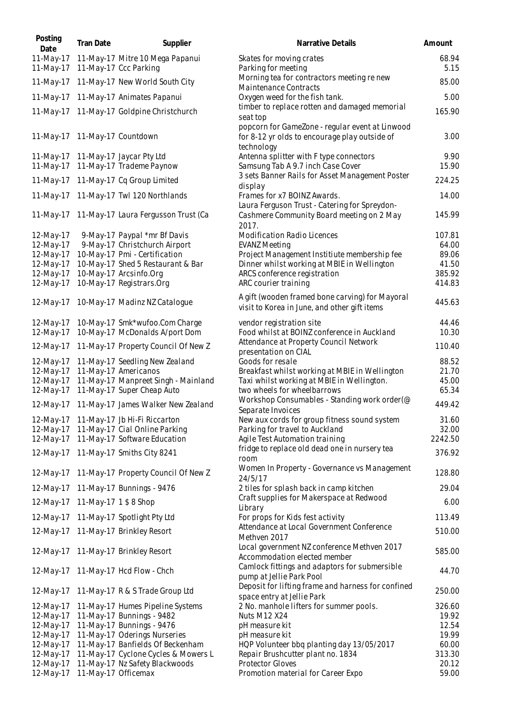| Posting<br>Date        | Tran Date             | Supplier                                                 | Narrative Details                                                                                              | Amount        |
|------------------------|-----------------------|----------------------------------------------------------|----------------------------------------------------------------------------------------------------------------|---------------|
| 11-May-17<br>11-May-17 |                       | 11-May-17 Mitre 10 Mega Papanui<br>11-May-17 Ccc Parking | Skates for moving crates<br>Parking for meeting                                                                | 68.94<br>5.15 |
| 11-May-17              |                       | 11-May-17 New World South City                           | Morning tea for contractors meeting re new<br>Maintenance Contracts                                            | 85.00         |
| 11-May-17              |                       | 11-May-17 Animates Papanui                               | Oxygen weed for the fish tank.                                                                                 | 5.00          |
| 11-May-17              |                       | 11-May-17 Goldpine Christchurch                          | timber to replace rotten and damaged memorial<br>seat top                                                      | 165.90        |
| 11-May-17              |                       | 11-May-17 Countdown                                      | popcorn for GameZone - regular event at Linwood<br>for 8-12 yr olds to encourage play outside of<br>technology | 3.00          |
| 11-May-17<br>11-May-17 |                       | 11-May-17 Jaycar Pty Ltd<br>11-May-17 Trademe Paynow     | Antenna splitter with F type connectors<br>Samsung Tab A 9.7 inch Case Cover                                   | 9.90<br>15.90 |
| 11-May-17              |                       | 11-May-17 Cq Group Limited                               | 3 sets Banner Rails for Asset Management Poster<br>display                                                     | 224.25        |
| 11-May-17              |                       | 11-May-17 Twl 120 Northlands                             | Frames for x7 BOINZ Awards.<br>Laura Ferguson Trust - Catering for Spreydon-                                   | 14.00         |
| 11-May-17              |                       | 11-May-17 Laura Fergusson Trust (Ca                      | Cashmere Community Board meeting on 2 May<br>2017.                                                             | 145.99        |
| 12-May-17              |                       | 9-May-17 Paypal *mr Bf Davis                             | Modification Radio Licences                                                                                    | 107.81        |
| 12-May-17              |                       | 9-May-17 Christchurch Airport                            | <b>EVANZ Meeting</b>                                                                                           | 64.00         |
| 12-May-17              |                       | 10-May-17 Pmi - Certification                            | Project Management Institiute membership fee                                                                   | 89.06         |
| 12-May-17              |                       | 10-May-17 Shed 5 Restaurant & Bar                        | Dinner whilst working at MBIE in Wellington                                                                    | 41.50         |
| 12-May-17              |                       | 10-May-17 Arcsinfo.Org                                   | ARCS conference registration                                                                                   | 385.92        |
| 12-May-17              |                       | 10-May-17 Registrars.Org                                 | ARC courier training                                                                                           | 414.83        |
| 12-May-17              |                       | 10-May-17 Madinz NZ Catalogue                            | A gift (wooden framed bone carving) for Mayoral<br>visit to Korea in June, and other gift items                | 445.63        |
| 12-May-17              |                       | 10-May-17 Smk*wufoo.Com Charge                           | vendor registration site                                                                                       | 44.46         |
| 12-May-17              |                       | 10-May-17 McDonalds A/port Dom                           | Food whilst at BOINZ conference in Auckland<br>Attendance at Property Council Network                          | 10.30         |
| 12-May-17              |                       | 11-May-17 Property Council Of New Z                      | presentation on CIAL                                                                                           | 110.40        |
| 12-May-17              |                       | 11-May-17 Seedling New Zealand                           | Goods for resale                                                                                               | 88.52         |
| 12-May-17              |                       | 11-May-17 Americanos                                     | Breakfast whilst working at MBIE in Wellington                                                                 | 21.70         |
| 12-May-17              |                       | 11-May-17 Manpreet Singh - Mainland                      | Taxi whilst working at MBIE in Wellington.                                                                     | 45.00         |
| 12-May-17              |                       | 11-May-17 Super Cheap Auto                               | two wheels for wheelbarrows                                                                                    | 65.34         |
| 12-May-17              |                       | 11-May-17 James Walker New Zealand                       | Workshop Consumables - Standing work order(@<br>Separate Invoices                                              | 449.42        |
|                        |                       | 12-May-17 11-May-17 Jb Hi-Fi Riccarton                   | New aux cords for group fitness sound system                                                                   | 31.60         |
| $12$ -May-17           |                       | 11-May-17 Cial Online Parking                            | Parking for travel to Auckland                                                                                 | 32.00         |
| 12-May-17              |                       | 11-May-17 Software Education                             | Agile Test Automation training                                                                                 | 2242.50       |
| 12-May-17              |                       | 11-May-17 Smiths City 8241                               | fridge to replace old dead one in nursery tea<br>room                                                          | 376.92        |
|                        |                       | 12-May-17 11-May-17 Property Council Of New Z            | Women In Property - Governance vs Management<br>24/5/17                                                        | 128.80        |
| 12-May-17              |                       | 11-May-17 Bunnings - 9476                                | 2 tiles for splash back in camp kitchen                                                                        | 29.04         |
| 12-May-17              | 11-May-17 1 \$ 8 Shop |                                                          | Craft supplies for Makerspace at Redwood<br>Library                                                            | 6.00          |
| 12-May-17              |                       | 11-May-17 Spotlight Pty Ltd                              | For props for Kids fest activity                                                                               | 113.49        |
| 12-May-17              |                       | 11-May-17 Brinkley Resort                                | Attendance at Local Government Conference<br>Methven 2017                                                      | 510.00        |
| 12-May-17              |                       | 11-May-17 Brinkley Resort                                | Local government NZ conference Methven 2017<br>Accommodation elected member                                    | 585.00        |
| 12-May-17              |                       | 11-May-17 Hcd Flow - Chch                                | Camlock fittings and adaptors for submersible<br>pump at Jellie Park Pool                                      | 44.70         |
| 12-May-17              |                       | 11-May-17 R & S Trade Group Ltd                          | Deposit for lifting frame and harness for confined<br>space entry at Jellie Park                               | 250.00        |
| 12-May-17              |                       | 11-May-17 Humes Pipeline Systems                         | 2 No. manhole lifters for summer pools.                                                                        | 326.60        |
| 12-May-17              |                       | 11-May-17 Bunnings - 9482                                | <b>Nuts M12 X24</b>                                                                                            | 19.92         |
| 12-May-17              |                       | 11-May-17 Bunnings - 9476                                | pH measure kit                                                                                                 | 12.54         |
| 12-May-17              |                       | 11-May-17 Oderings Nurseries                             | pH measure kit                                                                                                 | 19.99         |
| 12-May-17              |                       | 11-May-17 Banfields Of Beckenham                         | HQP Volunteer bbq planting day 13/05/2017                                                                      | 60.00         |
| 12-May-17              |                       | 11-May-17 Cyclone Cycles & Mowers L                      | Repair Brushcutter plant no. 1834                                                                              | 313.30        |
| 12-May-17              |                       | 11-May-17 Nz Safety Blackwoods                           | <b>Protector Gloves</b>                                                                                        | 20.12         |
| 12-May-17              |                       | 11-May-17 Officemax                                      | Promotion material for Career Expo                                                                             | 59.00         |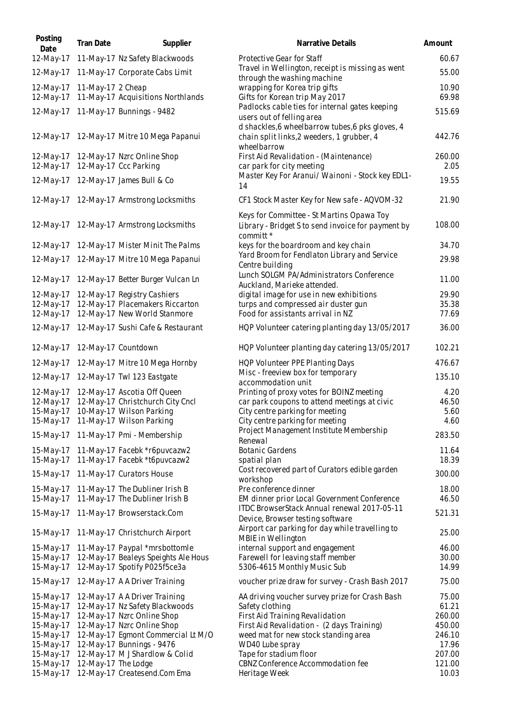| Posting<br>Date           | Tran Date           | Supplier                                                                 | Narrative Details                                                                                             | Amount           |
|---------------------------|---------------------|--------------------------------------------------------------------------|---------------------------------------------------------------------------------------------------------------|------------------|
| 12-May-17                 |                     | 11-May-17 Nz Safety Blackwoods                                           | Protective Gear for Staff                                                                                     | 60.67            |
| 12-May-17                 |                     | 11-May-17 Corporate Cabs Limit                                           | Travel in Wellington, receipt is missing as went<br>through the washing machine                               | 55.00            |
| 12-May-17                 | 11-May-17 2 Cheap   |                                                                          | wrapping for Korea trip gifts                                                                                 | 10.90            |
| 12-May-17                 |                     | 11-May-17 Acquisitions Northlands                                        | Gifts for Korean trip May 2017<br>Padlocks cable ties for internal gates keeping                              | 69.98            |
| 12-May-17                 |                     | 11-May-17 Bunnings - 9482                                                | users out of felling area                                                                                     | 515.69           |
| 12-May-17                 |                     | 12-May-17 Mitre 10 Mega Papanui                                          | d shackles, 6 wheelbarrow tubes, 6 pks gloves, 4<br>chain split links, 2 weeders, 1 grubber, 4<br>wheelbarrow | 442.76           |
| $12$ -May-17<br>12-May-17 |                     | 12-May-17 Nzrc Online Shop<br>12-May-17 Ccc Parking                      | First Aid Revalidation - (Maintenance)<br>car park for city meeting                                           | 260.00<br>2.05   |
| 12-May-17                 |                     | 12-May-17 James Bull & Co                                                | Master Key For Aranui/ Wainoni - Stock key EDL1-<br>14                                                        | 19.55            |
|                           |                     | 12-May-17 12-May-17 Armstrong Locksmiths                                 | CF1 Stock Master Key for New safe - AQVOM-32                                                                  | 21.90            |
|                           |                     | 12-May-17 12-May-17 Armstrong Locksmiths                                 | Keys for Committee - St Martins Opawa Toy<br>Library - Bridget S to send invoice for payment by<br>committ *  | 108.00           |
| $12$ -May-17              |                     | 12-May-17 Mister Minit The Palms                                         | keys for the boardroom and key chain                                                                          | 34.70            |
| 12-May-17                 |                     | 12-May-17 Mitre 10 Mega Papanui                                          | Yard Broom for Fendlaton Library and Service<br>Centre building                                               | 29.98            |
| 12-May-17                 |                     | 12-May-17 Better Burger Vulcan Ln                                        | Lunch SOLGM PA/Administrators Conference<br>Auckland, Marieke attended.                                       | 11.00            |
| 12-May-17                 |                     | 12-May-17 Registry Cashiers                                              | digital image for use in new exhibitions                                                                      | 29.90            |
| $12$ -May-17<br>12-May-17 |                     | 12-May-17 Placemakers Riccarton<br>12-May-17 New World Stanmore          | turps and compressed air duster gun<br>Food for assistants arrival in NZ                                      | 35.38<br>77.69   |
| 12-May-17                 |                     | 12-May-17 Sushi Cafe & Restaurant                                        | HQP Volunteer catering planting day 13/05/2017                                                                | 36.00            |
| 12-May-17                 |                     | 12-May-17 Countdown                                                      | HQP Volunteer planting day catering 13/05/2017                                                                | 102.21           |
| $12$ -May-17              |                     | 12-May-17 Mitre 10 Mega Hornby                                           | HQP Volunteer PPE Planting Days                                                                               | 476.67           |
| 12-May-17                 |                     | 12-May-17 Twl 123 Eastgate                                               | Misc - freeview box for temporary<br>accommodation unit                                                       | 135.10           |
| 12-May-17                 |                     | 12-May-17 Ascotia Off Queen                                              | Printing of proxy votes for BOINZ meeting                                                                     | 4.20             |
| 12-May-17                 |                     | 12-May-17 Christchurch City Cncl                                         | car park coupons to attend meetings at civic                                                                  | 46.50            |
|                           |                     | 15-May-17 10-May-17 Wilson Parking<br>15-May-17 11-May-17 Wilson Parking | City centre parking for meeting<br>City centre parking for meeting                                            | 5.60<br>4.60     |
|                           |                     | 15-May-17 11-May-17 Pmi - Membership                                     | Project Management Institute Membership<br>Renewal                                                            | 283.50           |
|                           |                     | 15-May-17 11-May-17 Facebk *r6puvcazw2                                   | <b>Botanic Gardens</b>                                                                                        | 11.64            |
| 15-May-17                 |                     | 11-May-17 Facebk *t6puvcazw2                                             | spatial plan                                                                                                  | 18.39            |
| 15-May-17                 |                     | 11-May-17 Curators House                                                 | Cost recovered part of Curators edible garden<br>workshop                                                     | 300.00           |
| 15-May-17                 |                     | 11-May-17 The Dubliner Irish B                                           | Pre conference dinner                                                                                         | 18.00            |
| 15-May-17                 |                     | 11-May-17 The Dubliner Irish B                                           | EM dinner prior Local Government Conference                                                                   | 46.50            |
|                           |                     | 15-May-17 11-May-17 Browserstack.Com                                     | ITDC BrowserStack Annual renewal 2017-05-11<br>Device, Browser testing software                               | 521.31           |
| 15-May-17                 |                     | 11-May-17 Christchurch Airport                                           | Airport car parking for day while travelling to<br>MBIE in Wellington                                         | 25.00            |
| 15-May-17                 |                     | 11-May-17 Paypal *mrsbottomle                                            | internal support and engagement                                                                               | 46.00            |
| 15-May-17<br>15-May-17    |                     | 12-May-17 Bealeys Speights Ale Hous<br>12-May-17 Spotify P025f5ce3a      | Farewell for leaving staff member<br>5306-4615 Monthly Music Sub                                              | 30.00<br>14.99   |
| 15-May-17                 |                     | 12-May-17 A A Driver Training                                            | voucher prize draw for survey - Crash Bash 2017                                                               | 75.00            |
| 15-May-17                 |                     | 12-May-17 A A Driver Training                                            | AA driving voucher survey prize for Crash Bash                                                                | 75.00            |
| 15-May-17                 |                     | 12-May-17 Nz Safety Blackwoods                                           | Safety clothing                                                                                               | 61.21            |
| 15-May-17                 |                     | 12-May-17 Nzrc Online Shop                                               | First Aid Training Revalidation                                                                               | 260.00           |
| 15-May-17<br>15-May-17    |                     | 12-May-17 Nzrc Online Shop<br>12-May-17 Egmont Commercial Lt M/O         | First Aid Revalidation - (2 days Training)<br>weed mat for new stock standing area                            | 450.00<br>246.10 |
| 15-May-17                 |                     | 12-May-17 Bunnings - 9476                                                | WD40 Lube spray                                                                                               | 17.96            |
| 15-May-17                 |                     | 12-May-17 M J Shardlow & Colid                                           | Tape for stadium floor                                                                                        | 207.00           |
| 15-May-17                 | 12-May-17 The Lodge |                                                                          | CBNZ Conference Accommodation fee                                                                             | 121.00           |
| 15-May-17                 |                     | 12-May-17 Createsend.Com Ema                                             | Heritage Week                                                                                                 | 10.03            |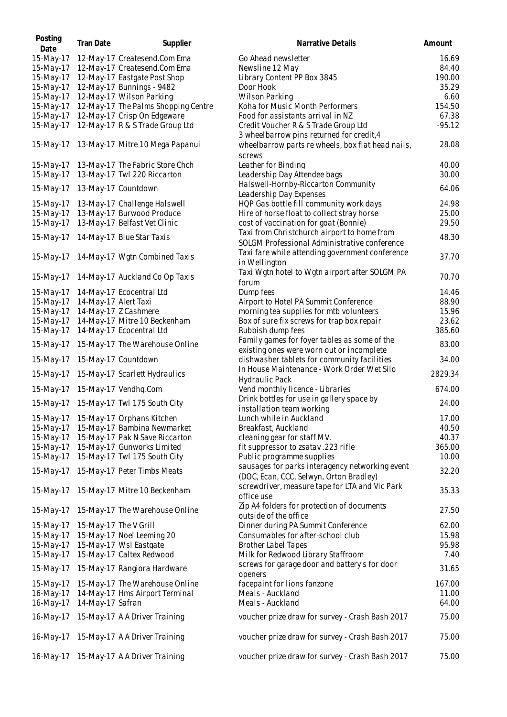| Posting<br>Date | <b>Tran Date</b>      | Supplier                                 | Narrative Details                                                                         | Amount   |
|-----------------|-----------------------|------------------------------------------|-------------------------------------------------------------------------------------------|----------|
| 15-May-17       |                       | 12-May-17 Createsend.Com Ema             | Go Ahead newsletter                                                                       | 16.69    |
| 15-May-17       |                       | 12-May-17 Createsend.Com Ema             | Newsline 12 May                                                                           | 84.40    |
| 15-May-17       |                       | 12-May-17 Eastgate Post Shop             | Library Content PP Box 3845                                                               | 190.00   |
|                 |                       | 12-May-17 Bunnings - 9482                |                                                                                           |          |
| 15-May-17       |                       |                                          | Door Hook                                                                                 | 35.29    |
| 15-May-17       |                       | 12-May-17 Wilson Parking                 | <b>Wilson Parking</b>                                                                     | 6.60     |
| 15-May-17       |                       | 12-May-17 The Palms Shopping Centre      | Koha for Music Month Performers                                                           | 154.50   |
| 15-May-17       |                       | 12-May-17 Crisp On Edgeware              | Food for assistants arrival in NZ                                                         | 67.38    |
| 15-May-17       |                       | 12-May-17 R & S Trade Group Ltd          | Credit Voucher R & S Trade Group Ltd<br>3 wheelbarrow pins returned for credit,4          | $-95.12$ |
| 15-May-17       |                       | 13-May-17 Mitre 10 Mega Papanui          | wheelbarrow parts re wheels, box flat head nails,<br>screws                               | 28.08    |
| 15-May-17       |                       | 13-May-17 The Fabric Store Chch          | Leather for Binding                                                                       | 40.00    |
| 15-May-17       |                       | 13-May-17 Twl 220 Riccarton              | Leadership Day Attendee bags                                                              | 30.00    |
|                 |                       |                                          | Halswell-Hornby-Riccarton Community                                                       |          |
| 15-May-17       |                       | 13-May-17 Countdown                      | Leadership Day Expenses                                                                   | 64.06    |
| 15-May-17       |                       | 13-May-17 Challenge Halswell             | HQP Gas bottle fill community work days                                                   | 24.98    |
| 15-May-17       |                       | 13-May-17 Burwood Produce                | Hire of horse float to collect stray horse                                                | 25.00    |
| 15-May-17       |                       | 13-May-17 Belfast Vet Clinic             | cost of vaccination for goat (Bonnie)                                                     | 29.50    |
|                 |                       |                                          | Taxi from Christchurch airport to home from                                               | 48.30    |
| 15-May-17       |                       | 14-May-17 Blue Star Taxis                | SOLGM Professional Administrative conference                                              |          |
|                 |                       |                                          | Taxi fare while attending government conference                                           |          |
|                 |                       | 15-May-17 14-May-17 Wgtn Combined Taxis  | in Wellington                                                                             | 37.70    |
|                 |                       |                                          | Taxi Wgtn hotel to Wgtn airport after SOLGM PA                                            |          |
| 15-May-17       |                       | 14-May-17 Auckland Co Op Taxis           | forum                                                                                     | 70.70    |
|                 |                       |                                          |                                                                                           |          |
| 15-May-17       |                       | 14-May-17 Ecocentral Ltd                 | Dump fees                                                                                 | 14.46    |
| 15-May-17       | 14-May-17 Alert Taxi  |                                          | Airport to Hotel PA Summit Conference                                                     | 88.90    |
| 15-May-17       |                       | 14-May-17 Z Cashmere                     | morning tea supplies for mtb volunteers                                                   | 15.96    |
| 15-May-17       |                       | 14-May-17 Mitre 10 Beckenham             | Box of sure fix screws for trap box repair                                                | 23.62    |
| 15-May-17       |                       | 14-May-17 Ecocentral Ltd                 | Rubbish dump fees                                                                         | 385.60   |
| 15-May-17       |                       | 15-May-17 The Warehouse Online           | Family games for foyer tables as some of the<br>existing ones were worn out or incomplete | 83.00    |
| 15-May-17       |                       | 15-May-17 Countdown                      | dishwasher tablets for community facilities                                               | 34.00    |
| 15-May-17       |                       | 15-May-17 Scarlett Hydraulics            | In House Maintenance - Work Order Wet Silo<br><b>Hydraulic Pack</b>                       | 2829.34  |
| 15-May-17       |                       | 15-May-17 Vendhq.Com                     | Vend monthly licence - Libraries                                                          | 674.00   |
|                 |                       | 15-May-17 15-May-17 Twl 175 South City   | Drink bottles for use in gallery space by<br>installation team working                    | 24.00    |
|                 |                       | 15-May-17 15-May-17 Orphans Kitchen      | Lunch while in Auckland                                                                   | 17.00    |
| 15-May-17       |                       | 15-May-17 Bambina Newmarket              | Breakfast, Auckland                                                                       | 40.50    |
| 15-May-17       |                       | 15-May-17 Pak N Save Riccarton           | cleaning gear for staff MV.                                                               | 40.37    |
| 15-May-17       |                       | 15-May-17 Gunworks Limited               | fit suppressor to zsatav .223 rifle                                                       | 365.00   |
| 15-May-17       |                       | 15-May-17 Twl 175 South City             | Public programme supplies                                                                 | 10.00    |
|                 |                       | 15-May-17 15-May-17 Peter Timbs Meats    | sausages for parks interagency networking event                                           | 32.20    |
|                 |                       |                                          | (DOC, Ecan, CCC, Selwyn, Orton Bradley)<br>screwdriver, measure tape for LTA and Vic Park |          |
|                 |                       | 15-May-17 15-May-17 Mitre 10 Beckenham   | office use                                                                                | 35.33    |
| 15-May-17       |                       | 15-May-17 The Warehouse Online           | Zip A4 folders for protection of documents<br>outside of the office                       | 27.50    |
| 15-May-17       | 15-May-17 The V Grill |                                          | Dinner during PA Summit Conference                                                        | 62.00    |
|                 |                       | 15-May-17 15-May-17 Noel Leeming 20      | Consumables for after-school club                                                         | 15.98    |
| $15$ -May-17    |                       | 15-May-17 Wsl Eastgate                   | <b>Brother Label Tapes</b>                                                                | 95.98    |
| 15-May-17       |                       | 15-May-17 Caltex Redwood                 | Milk for Redwood Library Staffroom                                                        | 7.40     |
|                 |                       | 15-May-17 15-May-17 Rangiora Hardware    | screws for garage door and battery's for door<br>openers                                  | 31.65    |
|                 |                       | 15-May-17 15-May-17 The Warehouse Online | facepaint for lions fanzone                                                               | 167.00   |
| 16-May-17       |                       | 14-May-17 Hms Airport Terminal           | Meals - Auckland                                                                          | 11.00    |
| 16-May-17       | 14-May-17 Safran      |                                          | Meals - Auckland                                                                          | 64.00    |
|                 |                       |                                          |                                                                                           |          |
|                 |                       | 16-May-17 15-May-17 A A Driver Training  | voucher prize draw for survey - Crash Bash 2017                                           | 75.00    |
|                 |                       | 16-May-17 15-May-17 A A Driver Training  | voucher prize draw for survey - Crash Bash 2017                                           | 75.00    |
|                 |                       | 16-May-17 15-May-17 A A Driver Training  | voucher prize draw for survey - Crash Bash 2017                                           | 75.00    |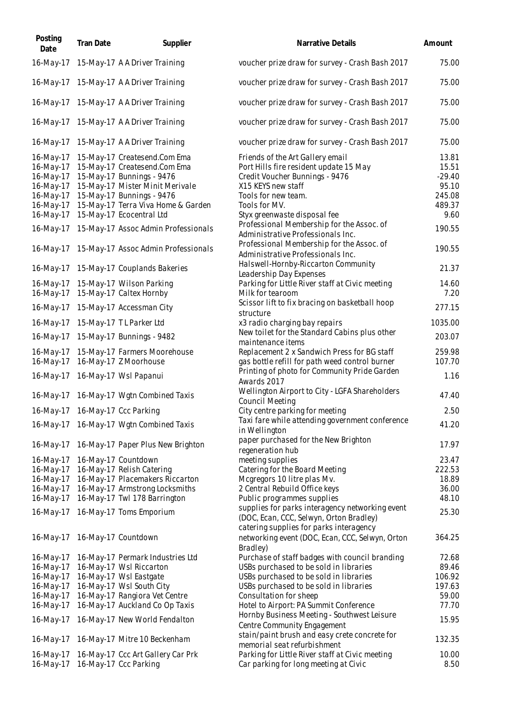| Posting<br>Date | Tran Date | Supplier                                      | Narrative Details                                                                                      | Amount   |
|-----------------|-----------|-----------------------------------------------|--------------------------------------------------------------------------------------------------------|----------|
| 16-May-17       |           | 15-May-17 A A Driver Training                 | voucher prize draw for survey - Crash Bash 2017                                                        | 75.00    |
| 16-May-17       |           | 15-May-17 A A Driver Training                 | voucher prize draw for survey - Crash Bash 2017                                                        | 75.00    |
| 16-May-17       |           | 15-May-17 A A Driver Training                 | voucher prize draw for survey - Crash Bash 2017                                                        | 75.00    |
|                 |           | 16-May-17 15-May-17 A A Driver Training       | voucher prize draw for survey - Crash Bash 2017                                                        | 75.00    |
| 16-May-17       |           | 15-May-17 A A Driver Training                 | voucher prize draw for survey - Crash Bash 2017                                                        | 75.00    |
| 16-May-17       |           | 15-May-17 Createsend.Com Ema                  | Friends of the Art Gallery email                                                                       | 13.81    |
| 16-May-17       |           | 15-May-17 Createsend.Com Ema                  | Port Hills fire resident update 15 May                                                                 | 15.51    |
| 16-May-17       |           | 15-May-17 Bunnings - 9476                     | Credit Voucher Bunnings - 9476                                                                         | $-29.40$ |
| 16-May-17       |           | 15-May-17 Mister Minit Merivale               | X15 KEYS new staff                                                                                     | 95.10    |
| 16-May-17       |           | 15-May-17 Bunnings - 9476                     | Tools for new team.                                                                                    | 245.08   |
| 16-May-17       |           | 15-May-17 Terra Viva Home & Garden            | Tools for MV.                                                                                          | 489.37   |
| 16-May-17       |           | 15-May-17 Ecocentral Ltd                      | Styx greenwaste disposal fee                                                                           | 9.60     |
| 16-May-17       |           | 15-May-17 Assoc Admin Professionals           | Professional Membership for the Assoc. of<br>Administrative Professionals Inc.                         | 190.55   |
|                 |           | 16-May-17 15-May-17 Assoc Admin Professionals | Professional Membership for the Assoc. of<br>Administrative Professionals Inc.                         | 190.55   |
| 16-May-17       |           | 15-May-17 Couplands Bakeries                  | Halswell-Hornby-Riccarton Community<br>Leadership Day Expenses                                         | 21.37    |
| 16-May-17       |           | 15-May-17 Wilson Parking                      | Parking for Little River staff at Civic meeting                                                        | 14.60    |
| 16-May-17       |           | 15-May-17 Caltex Hornby                       | Milk for tearoom                                                                                       | 7.20     |
| 16-May-17       |           | 15-May-17 Accessman City                      | Scissor lift to fix bracing on basketball hoop<br>structure                                            | 277.15   |
| 16-May-17       |           | 15-May-17 TL Parker Ltd                       | x3 radio charging bay repairs                                                                          | 1035.00  |
| 16-May-17       |           | 15-May-17 Bunnings - 9482                     | New toilet for the Standard Cabins plus other<br>maintenance items                                     | 203.07   |
| 16-May-17       |           | 15-May-17 Farmers Moorehouse                  | Replacement 2 x Sandwich Press for BG staff                                                            | 259.98   |
| 16-May-17       |           | 16-May-17 Z Moorhouse                         | gas bottle refill for path weed control burner                                                         | 107.70   |
|                 |           |                                               | Printing of photo for Community Pride Garden                                                           |          |
| 16-May-17       |           | 16-May-17 Wsl Papanui                         | Awards 2017                                                                                            | 1.16     |
| 16-May-17       |           | 16-May-17 Wgtn Combined Taxis                 | Wellington Airport to City - LGFA Shareholders<br><b>Council Meeting</b>                               | 47.40    |
|                 |           | 16-May-17 16-May-17 Ccc Parking               | City centre parking for meeting                                                                        | 2.50     |
|                 |           | 16-May-17 16-May-17 Wgtn Combined Taxis       | Taxi fare while attending government conference<br>in Wellington                                       | 41.20    |
| 16-May-17       |           | 16-May-17 Paper Plus New Brighton             | paper purchased for the New Brighton<br>regeneration hub                                               | 17.97    |
| 16-May-17       |           | 16-May-17 Countdown                           | meeting supplies                                                                                       | 23.47    |
| 16-May-17       |           | 16-May-17 Relish Catering                     | Catering for the Board Meeting                                                                         | 222.53   |
| 16-May-17       |           | 16-May-17 Placemakers Riccarton               | Mcgregors 10 litre plas Mv.                                                                            | 18.89    |
| 16-May-17       |           | 16-May-17 Armstrong Locksmiths                | 2 Central Rebuild Office keys                                                                          | 36.00    |
| 16-May-17       |           | 16-May-17 Twl 178 Barrington                  | Public programmes supplies                                                                             | 48.10    |
| 16-May-17       |           | 16-May-17 Toms Emporium                       | supplies for parks interagency networking event<br>(DOC, Ecan, CCC, Selwyn, Orton Bradley)             | 25.30    |
| 16-May-17       |           | 16-May-17 Countdown                           | catering supplies for parks interagency<br>networking event (DOC, Ecan, CCC, Selwyn, Orton<br>Bradley) | 364.25   |
| 16-May-17       |           | 16-May-17 Permark Industries Ltd              | Purchase of staff badges with council branding                                                         | 72.68    |
|                 |           |                                               | USBs purchased to be sold in libraries                                                                 | 89.46    |
| 16-May-17       |           | 16-May-17 Wsl Riccarton                       |                                                                                                        |          |
| 16-May-17       |           | 16-May-17 Wsl Eastgate                        | USBs purchased to be sold in libraries                                                                 | 106.92   |
| 16-May-17       |           | 16-May-17 Wsl South City                      | USBs purchased to be sold in libraries                                                                 | 197.63   |
| 16-May-17       |           | 16-May-17 Rangiora Vet Centre                 | Consultation for sheep                                                                                 | 59.00    |
| 16-May-17       |           | 16-May-17 Auckland Co Op Taxis                | Hotel to Airport: PA Summit Conference                                                                 | 77.70    |
| 16-May-17       |           | 16-May-17 New World Fendalton                 | Hornby Business Meeting - Southwest Leisure<br>Centre Community Engagement                             | 15.95    |
|                 |           | 16-May-17 16-May-17 Mitre 10 Beckenham        | stain/paint brush and easy crete concrete for<br>memorial seat refurbishment                           | 132.35   |
| 16-May-17       |           | 16-May-17 Ccc Art Gallery Car Prk             | Parking for Little River staff at Civic meeting                                                        | 10.00    |
| 16-May-17       |           | 16-May-17 Ccc Parking                         | Car parking for long meeting at Civic                                                                  | 8.50     |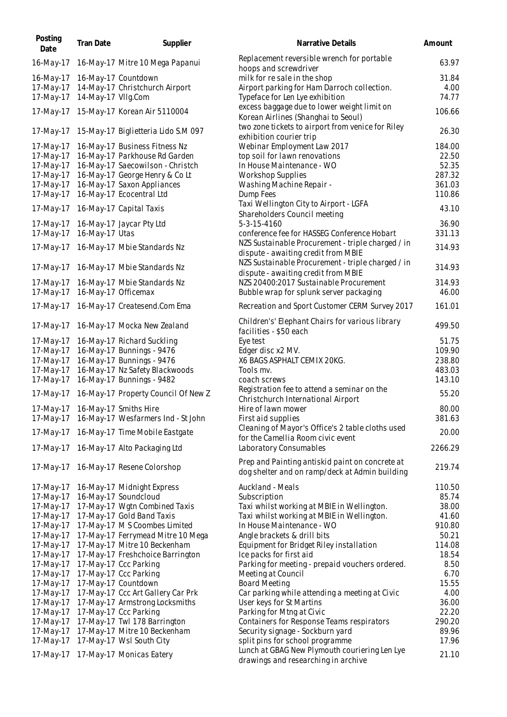| Posting<br>Date | Tran Date           | Supplier                                      | <b>Narrative Details</b>                                                                          | Amount  |
|-----------------|---------------------|-----------------------------------------------|---------------------------------------------------------------------------------------------------|---------|
| 16-May-17       |                     | 16-May-17 Mitre 10 Mega Papanui               | Replacement reversible wrench for portable<br>hoops and screwdriver                               | 63.97   |
| 16-May-17       |                     | 16-May-17 Countdown                           | milk for resale in the shop                                                                       | 31.84   |
| 17-May-17       |                     | 14-May-17 Christchurch Airport                | Airport parking for Ham Darroch collection.                                                       | 4.00    |
| 17-May-17       | 14-May-17 VIIg.Com  |                                               | Typeface for Len Lye exhibition                                                                   | 74.77   |
|                 |                     | 15-May-17 Korean Air 5110004                  | excess baggage due to lower weight limit on                                                       | 106.66  |
| 17-May-17       |                     |                                               | Korean Airlines (Shanghai to Seoul)                                                               |         |
| 17-May-17       |                     | 15-May-17 Biglietteria Lido S.M 097           | two zone tickets to airport from venice for Riley<br>exhibition courier trip                      | 26.30   |
| 17-May-17       |                     | 16-May-17 Business Fitness Nz                 | Webinar Employment Law 2017                                                                       | 184.00  |
| 17-May-17       |                     | 16-May-17 Parkhouse Rd Garden                 | top soil for lawn renovations                                                                     | 22.50   |
| 17-May-17       |                     | 16-May-17 Saecowilson - Christch              | In House Maintenance - WO                                                                         | 52.35   |
| 17-May-17       |                     | 16-May-17 George Henry & Co Lt                | <b>Workshop Supplies</b>                                                                          | 287.32  |
| 17-May-17       |                     | 16-May-17 Saxon Appliances                    | Washing Machine Repair -                                                                          | 361.03  |
| 17-May-17       |                     | 16-May-17 Ecocentral Ltd                      | Dump Fees                                                                                         | 110.86  |
| 17-May-17       |                     | 16-May-17 Capital Taxis                       | Taxi Wellington City to Airport - LGFA                                                            | 43.10   |
|                 |                     |                                               | Shareholders Council meeting                                                                      |         |
| 17-May-17       |                     | 16-May-17 Jaycar Pty Ltd                      | 5-3-15-4160                                                                                       | 36.90   |
| 17-May-17       | 16-May-17 Utas      |                                               | conference fee for HASSEG Conference Hobart                                                       | 331.13  |
| 17-May-17       |                     | 16-May-17 Mbie Standards Nz                   | NZS Sustainable Procurement - triple charged / in<br>dispute - awaiting credit from MBIE          | 314.93  |
| 17-May-17       |                     | 16-May-17 Mbie Standards Nz                   | NZS Sustainable Procurement - triple charged / in<br>dispute - awaiting credit from MBIE          | 314.93  |
| 17-May-17       |                     | 16-May-17 Mbie Standards Nz                   | NZS 20400:2017 Sustainable Procurement                                                            | 314.93  |
| 17-May-17       | 16-May-17 Officemax |                                               | Bubble wrap for splunk server packaging                                                           | 46.00   |
| 17-May-17       |                     | 16-May-17 Createsend.Com Ema                  | Recreation and Sport Customer CERM Survey 2017                                                    | 161.01  |
| 17-May-17       |                     | 16-May-17 Mocka New Zealand                   | Children's' Elephant Chairs for various library<br>facilities - \$50 each                         | 499.50  |
| 17-May-17       |                     | 16-May-17 Richard Suckling                    | Eye test                                                                                          | 51.75   |
| 17-May-17       |                     | 16-May-17 Bunnings - 9476                     | Edger disc x2 MV.                                                                                 | 109.90  |
| 17-May-17       |                     | 16-May-17 Bunnings - 9476                     | X6 BAGS ASPHALT CEMIX 20KG.                                                                       | 238.80  |
| 17-May-17       |                     | 16-May-17 Nz Safety Blackwoods                | Tools mv.                                                                                         | 483.03  |
| 17-May-17       |                     | 16-May-17 Bunnings - 9482                     | coach screws                                                                                      | 143.10  |
|                 |                     | 17-May-17 16-May-17 Property Council Of New Z | Registration fee to attend a seminar on the<br>Christchurch International Airport                 | 55.20   |
|                 |                     | 17-May-17 16-May-17 Smiths Hire               | Hire of lawn mower                                                                                | 80.00   |
| 17-May-17       |                     | 16-May-17 Wesfarmers Ind - St John            | First aid supplies                                                                                | 381.63  |
|                 |                     | 17-May-17 16-May-17 Time Mobile Eastgate      | Cleaning of Mayor's Office's 2 table cloths used                                                  | 20.00   |
|                 |                     |                                               | for the Camellia Room civic event                                                                 |         |
| 17-May-17       |                     | 16-May-17 Alto Packaging Ltd                  | Laboratory Consumables                                                                            | 2266.29 |
| 17-May-17       |                     | 16-May-17 Resene Colorshop                    | Prep and Painting antiskid paint on concrete at<br>dog shelter and on ramp/deck at Admin building | 219.74  |
| 17-May-17       |                     | 16-May-17 Midnight Express                    | Auckland - Meals                                                                                  | 110.50  |
| 17-May-17       |                     | 16-May-17 Soundcloud                          | Subscription                                                                                      | 85.74   |
| 17-May-17       |                     | 17-May-17 Wgtn Combined Taxis                 | Taxi whilst working at MBIE in Wellington.                                                        | 38.00   |
| 17-May-17       |                     | 17-May-17 Gold Band Taxis                     | Taxi whilst working at MBIE in Wellington.                                                        | 41.60   |
| 17-May-17       |                     | 17-May-17 M S Coombes Limited                 | In House Maintenance - WO                                                                         | 910.80  |
| 17-May-17       |                     | 17-May-17 Ferrymead Mitre 10 Mega             | Angle brackets & drill bits                                                                       | 50.21   |
| 17-May-17       |                     | 17-May-17 Mitre 10 Beckenham                  | Equipment for Bridget Riley installation                                                          | 114.08  |
| 17-May-17       |                     | 17-May-17 Freshchoice Barrington              | Ice packs for first aid                                                                           | 18.54   |
| 17-May-17       |                     | 17-May-17 Ccc Parking                         | Parking for meeting - prepaid vouchers ordered.                                                   | 8.50    |
| 17-May-17       |                     | 17-May-17 Ccc Parking                         | Meeting at Council                                                                                | 6.70    |
| 17-May-17       |                     | 17-May-17 Countdown                           | <b>Board Meeting</b>                                                                              | 15.55   |
| 17-May-17       |                     | 17-May-17 Ccc Art Gallery Car Prk             | Car parking while attending a meeting at Civic                                                    | 4.00    |
| 17-May-17       |                     | 17-May-17 Armstrong Locksmiths                | User keys for St Martins                                                                          | 36.00   |
| 17-May-17       |                     | 17-May-17 Ccc Parking                         | Parking for Mtng at Civic                                                                         | 22.20   |
| 17-May-17       |                     | 17-May-17 Twl 178 Barrington                  | Containers for Response Teams respirators                                                         | 290.20  |
| 17-May-17       |                     | 17-May-17 Mitre 10 Beckenham                  | Security signage - Sockburn yard                                                                  | 89.96   |
| 17-May-17       |                     | 17-May-17 Wsl South City                      | split pins for school programme                                                                   | 17.96   |
| 17-May-17       |                     | 17-May-17 Monicas Eatery                      | Lunch at GBAG New Plymouth couriering Len Lye<br>drawings and researching in archive              | 21.10   |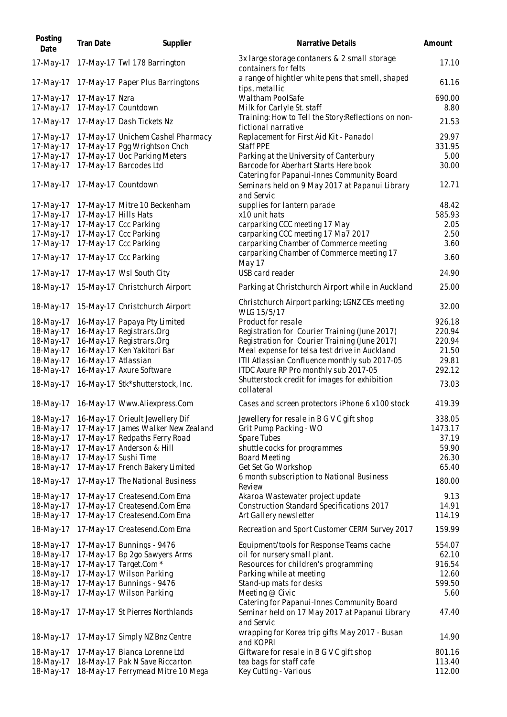| Posting<br>Date | Tran Date            | Supplier                                  | Narrative Details                                                                   | Amount  |
|-----------------|----------------------|-------------------------------------------|-------------------------------------------------------------------------------------|---------|
| 17-May-17       |                      | 17-May-17 Twl 178 Barrington              | 3x large storage contaners & 2 small storage<br>containers for felts                | 17.10   |
| 17-May-17       |                      | 17-May-17 Paper Plus Barringtons          | a range of hightler white pens that smell, shaped<br>tips, metallic                 | 61.16   |
| 17-May-17       | 17-May-17 Nzra       |                                           | Waltham PoolSafe                                                                    | 690.00  |
| 17-May-17       |                      | 17-May-17 Countdown                       | Milk for Carlyle St. staff                                                          | 8.80    |
| 17-May-17       |                      | 17-May-17 Dash Tickets Nz                 | Training: How to Tell the Story: Reflections on non-<br>fictional narrative         | 21.53   |
| 17-May-17       |                      | 17-May-17 Unichem Cashel Pharmacy         | Replacement for First Aid Kit - Panadol                                             | 29.97   |
| 17-May-17       |                      | 17-May-17 Pgg Wrightson Chch              | <b>Staff PPE</b>                                                                    | 331.95  |
| 17-May-17       |                      | 17-May-17 Uoc Parking Meters              | Parking at the University of Canterbury                                             | 5.00    |
| 17-May-17       |                      | 17-May-17 Barcodes Ltd                    | Barcode for Aberhart Starts Here book<br>Catering for Papanui-Innes Community Board | 30.00   |
| 17-May-17       |                      | 17-May-17 Countdown                       | Seminars held on 9 May 2017 at Papanui Library                                      | 12.71   |
|                 |                      |                                           | and Servic                                                                          |         |
| 17-May-17       |                      | 17-May-17 Mitre 10 Beckenham              | supplies for lantern parade                                                         | 48.42   |
| 17-May-17       | 17-May-17 Hills Hats |                                           | x10 unit hats                                                                       | 585.93  |
| 17-May-17       |                      | 17-May-17 Ccc Parking                     | carparking CCC meeting 17 May                                                       | 2.05    |
| 17-May-17       |                      | 17-May-17 Ccc Parking                     | carparking CCC meeting 17 Ma7 2017                                                  | 2.50    |
| 17-May-17       |                      | 17-May-17 Ccc Parking                     | carparking Chamber of Commerce meeting                                              | 3.60    |
| 17-May-17       |                      | 17-May-17 Ccc Parking                     | carparking Chamber of Commerce meeting 17<br>May 17                                 | 3.60    |
| 17-May-17       |                      | 17-May-17 Wsl South City                  | USB card reader                                                                     | 24.90   |
| 18-May-17       |                      | 15-May-17 Christchurch Airport            | Parking at Christchurch Airport while in Auckland                                   | 25.00   |
| 18-May-17       |                      | 15-May-17 Christchurch Airport            | Christchurch Airport parking; LGNZ CEs meeting<br>WLG 15/5/17                       | 32.00   |
| 18-May-17       |                      | 16-May-17 Papaya Pty Limited              | Product for resale                                                                  | 926.18  |
| 18-May-17       |                      | 16-May-17 Registrars.Org                  | Registration for Courier Training (June 2017)                                       | 220.94  |
| 18-May-17       |                      | 16-May-17 Registrars.Org                  | Registration for Courier Training (June 2017)                                       | 220.94  |
| 18-May-17       |                      | 16-May-17 Ken Yakitori Bar                | Meal expense for telsa test drive in Auckland                                       | 21.50   |
| 18-May-17       | 16-May-17 Atlassian  |                                           | ITII Atlassian Confluence monthly sub 2017-05                                       | 29.81   |
| 18-May-17       |                      | 16-May-17 Axure Software                  | ITDC Axure RP Pro monthly sub 2017-05                                               | 292.12  |
| 18-May-17       |                      | 16-May-17 Stk*shutterstock, Inc.          | Shutterstock credit for images for exhibition<br>collateral                         | 73.03   |
|                 |                      | 18-May-17 16-May-17 Www.Aliexpress.Com    | Cases and screen protectors iPhone 6 x100 stock                                     | 419.39  |
|                 |                      | 18-May-17 16-May-17 Orieult Jewellery Dif | Jewellery for resale in B G V C gift shop                                           | 338.05  |
| 18-May-17       |                      | 17-May-17 James Walker New Zealand        | Grit Pump Packing - WO                                                              | 1473.17 |
| 18-May-17       |                      | 17-May-17 Redpaths Ferry Road             | Spare Tubes                                                                         | 37.19   |
| 18-May-17       |                      | 17-May-17 Anderson & Hill                 | shuttle cocks for programmes                                                        | 59.90   |
| 18-May-17       |                      | 17-May-17 Sushi Time                      | <b>Board Meeting</b>                                                                | 26.30   |
| 18-May-17       |                      | 17-May-17 French Bakery Limited           | Get Set Go Workshop                                                                 | 65.40   |
| 18-May-17       |                      | 17-May-17 The National Business           | 6 month subscription to National Business                                           | 180.00  |
|                 |                      |                                           | Review                                                                              |         |
| 18-May-17       |                      | 17-May-17 Createsend.Com Ema              | Akaroa Wastewater project update                                                    | 9.13    |
| 18-May-17       |                      | 17-May-17 Createsend.Com Ema              | <b>Construction Standard Specifications 2017</b>                                    | 14.91   |
| 18-May-17       |                      | 17-May-17 Createsend.Com Ema              | Art Gallery newsletter                                                              | 114.19  |
| 18-May-17       |                      | 17-May-17 Createsend.Com Ema              | Recreation and Sport Customer CERM Survey 2017                                      | 159.99  |
| 18-May-17       |                      | 17-May-17 Bunnings - 9476                 | Equipment/tools for Response Teams cache                                            | 554.07  |
| 18-May-17       |                      | 17-May-17 Bp 2go Sawyers Arms             | oil for nursery small plant.                                                        | 62.10   |
| 18-May-17       |                      | 17-May-17 Target.Com *                    | Resources for children's programming                                                | 916.54  |
| 18-May-17       |                      | 17-May-17 Wilson Parking                  | Parking while at meeting                                                            | 12.60   |
| 18-May-17       |                      | 17-May-17 Bunnings - 9476                 | Stand-up mats for desks                                                             | 599.50  |
| 18-May-17       |                      | 17-May-17 Wilson Parking                  | Meeting @ Civic<br>Catering for Papanui-Innes Community Board                       | 5.60    |
| 18-May-17       |                      | 17-May-17 St Pierres Northlands           | Seminar held on 17 May 2017 at Papanui Library<br>and Servic                        | 47.40   |
| 18-May-17       |                      | 17-May-17 Simply NZ Bnz Centre            | wrapping for Korea trip gifts May 2017 - Busan<br>and KOPRI                         | 14.90   |
| 18-May-17       |                      | 17-May-17 Bianca Lorenne Ltd              | Giftware for resale in B G V C gift shop                                            | 801.16  |
| 18-May-17       |                      | 18-May-17 Pak N Save Riccarton            | tea bags for staff cafe                                                             | 113.40  |
| 18-May-17       |                      | 18-May-17 Ferrymead Mitre 10 Mega         | Key Cutting - Various                                                               | 112.00  |
|                 |                      |                                           |                                                                                     |         |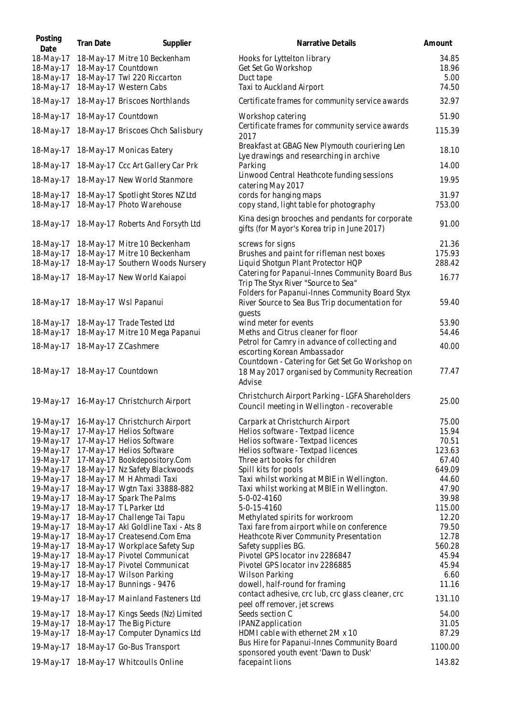| Posting<br>Date        | Tran Date | Supplier                                                       | Narrative Details                                                                                                                       | Amount          |
|------------------------|-----------|----------------------------------------------------------------|-----------------------------------------------------------------------------------------------------------------------------------------|-----------------|
| 18-May-17              |           | 18-May-17 Mitre 10 Beckenham                                   | Hooks for Lyttelton library                                                                                                             | 34.85           |
| 18-May-17              |           | 18-May-17 Countdown                                            | Get Set Go Workshop                                                                                                                     | 18.96           |
| 18-May-17              |           | 18-May-17 Twl 220 Riccarton                                    | Duct tape                                                                                                                               | 5.00            |
| 18-May-17              |           | 18-May-17 Western Cabs                                         | Taxi to Auckland Airport                                                                                                                | 74.50           |
| 18-May-17              |           | 18-May-17 Briscoes Northlands                                  | Certificate frames for community service awards                                                                                         | 32.97           |
| 18-May-17              |           | 18-May-17 Countdown                                            | Workshop catering                                                                                                                       | 51.90           |
| 18-May-17              |           | 18-May-17 Briscoes Chch Salisbury                              | Certificate frames for community service awards<br>2017                                                                                 | 115.39          |
| 18-May-17              |           | 18-May-17 Monicas Eatery                                       | Breakfast at GBAG New Plymouth couriering Len<br>Lye drawings and researching in archive                                                | 18.10           |
| 18-May-17              |           | 18-May-17 Ccc Art Gallery Car Prk                              | Parking                                                                                                                                 | 14.00           |
| 18-May-17              |           | 18-May-17 New World Stanmore                                   | Linwood Central Heathcote funding sessions<br>catering May 2017                                                                         | 19.95           |
| 18-May-17              |           | 18-May-17 Spotlight Stores NZ Ltd                              | cords for hanging maps                                                                                                                  | 31.97           |
| 18-May-17              |           | 18-May-17 Photo Warehouse                                      | copy stand, light table for photography                                                                                                 | 753.00          |
|                        |           | 18-May-17 18-May-17 Roberts And Forsyth Ltd                    | Kina design brooches and pendants for corporate<br>gifts (for Mayor's Korea trip in June 2017)                                          | 91.00           |
| 18-May-17              |           | 18-May-17 Mitre 10 Beckenham                                   | screws for signs                                                                                                                        | 21.36           |
| 18-May-17              |           | 18-May-17 Mitre 10 Beckenham                                   | Brushes and paint for rifleman nest boxes                                                                                               | 175.93          |
| 18-May-17              |           | 18-May-17 Southern Woods Nursery                               | Liquid Shotgun Plant Protector HQP                                                                                                      | 288.42          |
| 18-May-17              |           | 18-May-17 New World Kaiapoi                                    | Catering for Papanui-Innes Community Board Bus<br>Trip The Styx River "Source to Sea"<br>Folders for Papanui-Innes Community Board Styx | 16.77           |
| 18-May-17              |           | 18-May-17 Wsl Papanui                                          | River Source to Sea Bus Trip documentation for<br>quests                                                                                | 59.40           |
| 18-May-17              |           | 18-May-17 Trade Tested Ltd                                     | wind meter for events                                                                                                                   | 53.90           |
| 18-May-17              |           | 18-May-17 Mitre 10 Mega Papanui                                | Meths and Citrus cleaner for floor                                                                                                      | 54.46           |
| 18-May-17              |           | 18-May-17 Z Cashmere                                           | Petrol for Camry in advance of collecting and                                                                                           | 40.00           |
|                        |           |                                                                | escorting Korean Ambassador                                                                                                             |                 |
| 18-May-17              |           | 18-May-17 Countdown                                            | Countdown - Catering for Get Set Go Workshop on<br>18 May 2017 organised by Community Recreation                                        | 77.47           |
|                        |           |                                                                | Advise                                                                                                                                  |                 |
| 19-May-17              |           | 16-May-17 Christchurch Airport                                 | Christchurch Airport Parking - LGFA Shareholders                                                                                        | 25.00           |
|                        |           |                                                                | Council meeting in Wellington - recoverable                                                                                             |                 |
|                        |           | 19-May-17 16-May-17 Christchurch Airport                       | Carpark at Christchurch Airport                                                                                                         | 75.00           |
| 19-May-17              |           | 17-May-17 Helios Software                                      | Helios software - Textpad licence                                                                                                       | 15.94           |
| 19-May-17              |           | 17-May-17 Helios Software                                      | Helios software - Textpad licences                                                                                                      | 70.51           |
| 19-May-17              |           | 17-May-17 Helios Software                                      | Helios software - Textpad licences                                                                                                      | 123.63          |
| 19-May-17              |           | 17-May-17 Bookdepository.Com                                   | Three art books for children                                                                                                            | 67.40           |
| 19-May-17              |           | 18-May-17 Nz Safety Blackwoods                                 | Spill kits for pools                                                                                                                    | 649.09          |
| 19-May-17              |           | 18-May-17 M H Ahmadi Taxi                                      | Taxi whilst working at MBIE in Wellington.                                                                                              | 44.60           |
| 19-May-17              |           | 18-May-17 Wgtn Taxi 33888-882                                  | Taxi whilst working at MBIE in Wellington.                                                                                              | 47.90           |
| 19-May-17              |           | 18-May-17 Spark The Palms                                      | 5-0-02-4160                                                                                                                             | 39.98           |
| 19-May-17              |           | 18-May-17 TL Parker Ltd                                        | 5-0-15-4160                                                                                                                             | 115.00          |
| 19-May-17              |           | 18-May-17 Challenge Tai Tapu                                   | Methylated spirits for workroom                                                                                                         | 12.20           |
| 19-May-17              |           | 18-May-17 Akl Goldline Taxi - Ats 8                            | Taxi fare from airport while on conference                                                                                              | 79.50           |
| 19-May-17              |           | 18-May-17 Createsend.Com Ema                                   | Heathcote River Community Presentation                                                                                                  | 12.78           |
| 19-May-17<br>19-May-17 |           | 18-May-17 Workplace Safety Sup<br>18-May-17 Pivotel Communicat | Safety supplies BG.<br>Pivotel GPS locator inv 2286847                                                                                  | 560.28<br>45.94 |
| 19-May-17              |           | 18-May-17 Pivotel Communicat                                   | Pivotel GPS locator inv 2286885                                                                                                         | 45.94           |
| 19-May-17              |           | 18-May-17 Wilson Parking                                       | Wilson Parking                                                                                                                          | 6.60            |
| 19-May-17              |           | 18-May-17 Bunnings - 9476                                      | dowell, half-round for framing                                                                                                          | 11.16           |
| 19-May-17              |           | 18-May-17 Mainland Fasteners Ltd                               | contact adhesive, crc lub, crc glass cleaner, crc                                                                                       | 131.10          |
| 19-May-17              |           | 18-May-17 Kings Seeds (Nz) Limited                             | peel off remover, jet screws<br>Seeds section C                                                                                         | 54.00           |
| 19-May-17              |           | 18-May-17 The Big Picture                                      | IPANZ application                                                                                                                       | 31.05           |
| 19-May-17              |           | 18-May-17 Computer Dynamics Ltd                                | HDMI cable with ethernet 2M x 10                                                                                                        | 87.29           |
|                        |           |                                                                | Bus Hire for Papanui-Innes Community Board                                                                                              |                 |
| 19-May-17              |           | 18-May-17 Go-Bus Transport                                     | sponsored youth event 'Dawn to Dusk'                                                                                                    | 1100.00         |
| 19-May-17              |           | 18-May-17 Whitcoulls Online                                    | facepaint lions                                                                                                                         | 143.82          |

59.40

77.47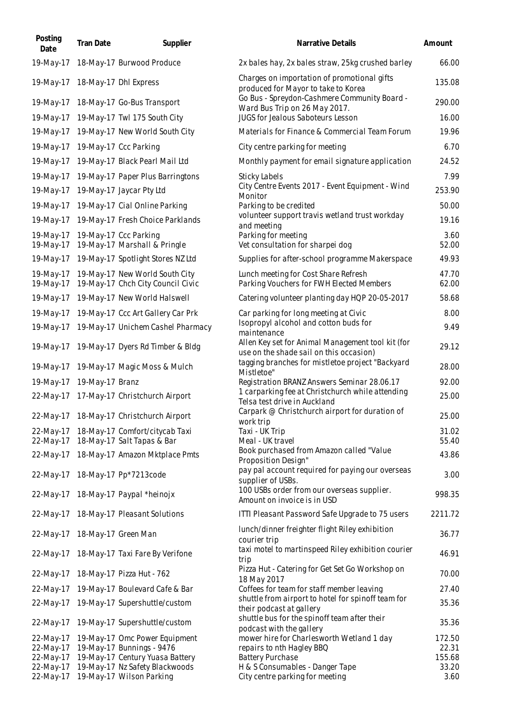| Posting<br>Date        | Tran Date                     | Supplier                                                               | Narrative Details                                                                            | Amount          |
|------------------------|-------------------------------|------------------------------------------------------------------------|----------------------------------------------------------------------------------------------|-----------------|
| 19-May-17              |                               | 18-May-17 Burwood Produce                                              | 2x bales hay, 2x bales straw, 25kg crushed barley                                            | 66.00           |
| 19-May-17              |                               | 18-May-17 Dhl Express                                                  | Charges on importation of promotional gifts<br>produced for Mayor to take to Korea           | 135.08          |
| 19-May-17              |                               | 18-May-17 Go-Bus Transport                                             | Go Bus - Spreydon-Cashmere Community Board -<br>Ward Bus Trip on 26 May 2017.                | 290.00          |
| 19-May-17              |                               | 19-May-17 Twl 175 South City                                           | JUGS for Jealous Saboteurs Lesson                                                            | 16.00           |
| 19-May-17              |                               | 19-May-17 New World South City                                         | Materials for Finance & Commercial Team Forum                                                | 19.96           |
| 19-May-17              |                               | 19-May-17 Ccc Parking                                                  | City centre parking for meeting                                                              | 6.70            |
| 19-May-17              |                               | 19-May-17 Black Pearl Mail Ltd                                         | Monthly payment for email signature application                                              | 24.52           |
| 19-May-17              |                               | 19-May-17 Paper Plus Barringtons                                       | Sticky Labels                                                                                | 7.99            |
| 19-May-17              |                               | 19-May-17 Jaycar Pty Ltd                                               | City Centre Events 2017 - Event Equipment - Wind                                             | 253.90          |
| 19-May-17              |                               | 19-May-17 Cial Online Parking                                          | Monitor<br>Parking to be credited                                                            | 50.00           |
| 19-May-17              |                               | 19-May-17 Fresh Choice Parklands                                       | volunteer support travis wetland trust workday                                               | 19.16           |
| 19-May-17              |                               | 19-May-17 Ccc Parking                                                  | and meeting<br>Parking for meeting                                                           | 3.60            |
| 19-May-17              |                               | 19-May-17 Marshall & Pringle                                           | Vet consultation for sharpei dog                                                             | 52.00           |
| 19-May-17              |                               | 19-May-17 Spotlight Stores NZ Ltd                                      | Supplies for after-school programme Makerspace                                               | 49.93           |
| 19-May-17<br>19-May-17 |                               | 19-May-17 New World South City<br>19-May-17 Chch City Council Civic    | Lunch meeting for Cost Share Refresh<br>Parking Vouchers for FWH Elected Members             | 47.70<br>62.00  |
| 19-May-17              |                               | 19-May-17 New World Halswell                                           | Catering volunteer planting day HQP 20-05-2017                                               | 58.68           |
| 19-May-17              |                               | 19-May-17 Ccc Art Gallery Car Prk                                      | Car parking for long meeting at Civic                                                        | 8.00            |
| 19-May-17              |                               | 19-May-17 Unichem Cashel Pharmacy                                      | Isopropyl alcohol and cotton buds for<br>maintenance                                         | 9.49            |
| 19-May-17              |                               | 19-May-17 Dyers Rd Timber & Bldg                                       | Allen Key set for Animal Management tool kit (for<br>use on the shade sail on this occasion) | 29.12           |
| 19-May-17              |                               | 19-May-17 Magic Moss & Mulch                                           | tagging branches for mistletoe project "Backyard<br>Mistletoe"                               | 28.00           |
| 19-May-17              | 19-May-17 Branz               |                                                                        | Registration BRANZ Answers Seminar 28.06.17                                                  | 92.00           |
| 22-May-17              |                               | 17-May-17 Christchurch Airport                                         | 1 carparking fee at Christchurch while attending<br>Telsa test drive in Auckland             | 25.00           |
|                        |                               | 22-May-17 18-May-17 Christchurch Airport                               | Carpark @ Christchurch airport for duration of<br>work trip                                  | 25.00           |
| 22-May-17<br>22-May-17 |                               | 18-May-17 Comfort/citycab Taxi<br>18-May-17 Salt Tapas & Bar           | Taxi - UK Trip<br>Meal - UK travel                                                           | 31.02<br>55.40  |
|                        |                               | 22-May-17 18-May-17 Amazon Mktplace Pmts                               | Book purchased from Amazon called "Value                                                     | 43.86           |
|                        |                               |                                                                        | Proposition Design"<br>pay pal account required for paying our overseas                      |                 |
|                        |                               | 22-May-17 18-May-17 Pp*7213code                                        | supplier of USBs.                                                                            | 3.00            |
|                        |                               | 22-May-17 18-May-17 Paypal *heinojx                                    | 100 USBs order from our overseas supplier.<br>Amount on invoice is in USD                    | 998.35          |
|                        |                               | 22-May-17 18-May-17 Pleasant Solutions                                 | ITTI Pleasant Password Safe Upgrade to 75 users                                              | 2211.72         |
|                        | 22-May-17 18-May-17 Green Man |                                                                        | lunch/dinner freighter flight Riley exhibition<br>courier trip                               | 36.77           |
|                        |                               | 22-May-17 18-May-17 Taxi Fare By Verifone                              | taxi motel to martinspeed Riley exhibition courier<br>trip                                   | 46.91           |
| 22-May-17              |                               | 18-May-17 Pizza Hut - 762                                              | Pizza Hut - Catering for Get Set Go Workshop on<br>18 May 2017                               | 70.00           |
|                        |                               | 22-May-17 19-May-17 Boulevard Cafe & Bar                               | Coffees for team for staff member leaving                                                    | 27.40           |
|                        |                               | 22-May-17 19-May-17 Supershuttle/custom                                | shuttle from airport to hotel for spinoff team for<br>their podcast at gallery               | 35.36           |
|                        |                               | 22-May-17 19-May-17 Supershuttle/custom                                | shuttle bus for the spinoff team after their<br>podcast with the gallery                     | 35.36           |
|                        |                               | 22-May-17 19-May-17 Omc Power Equipment                                | mower hire for Charlesworth Wetland 1 day                                                    | 172.50          |
| 22-May-17              |                               | 19-May-17 Bunnings - 9476<br>22-May-17 19-May-17 Century Yuasa Battery | repairs to nth Hagley BBQ<br><b>Battery Purchase</b>                                         | 22.31<br>155.68 |
|                        |                               | 22-May-17 19-May-17 Nz Safety Blackwoods                               | H & S Consumables - Danger Tape                                                              | 33.20           |
|                        |                               | 22-May-17 19-May-17 Wilson Parking                                     | City centre parking for meeting                                                              | 3.60            |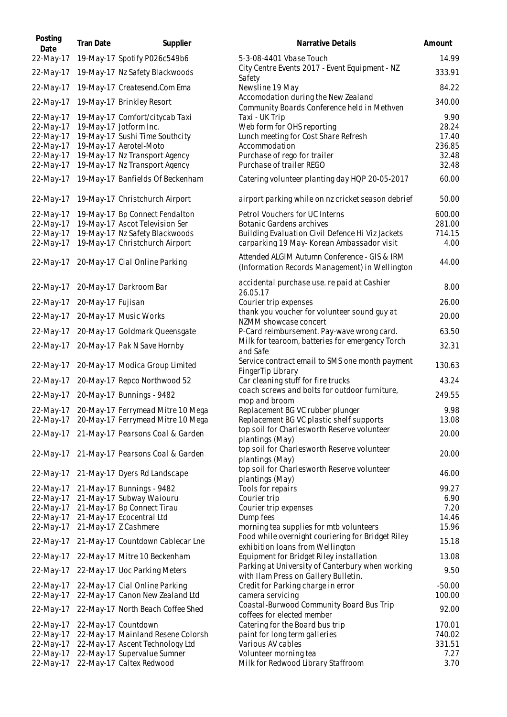| Posting<br>Date                                                            | Tran Date         | Supplier                                                                                                                                                                               | Narrative Details                                                                                                                                                 | Amount                                             |
|----------------------------------------------------------------------------|-------------------|----------------------------------------------------------------------------------------------------------------------------------------------------------------------------------------|-------------------------------------------------------------------------------------------------------------------------------------------------------------------|----------------------------------------------------|
| 22-May-17                                                                  |                   | 19-May-17 Spotify P026c549b6                                                                                                                                                           | 5-3-08-4401 Vbase Touch                                                                                                                                           | 14.99                                              |
| 22-May-17                                                                  |                   | 19-May-17 Nz Safety Blackwoods                                                                                                                                                         | City Centre Events 2017 - Event Equipment - NZ<br>Safety                                                                                                          | 333.91                                             |
| 22-May-17                                                                  |                   | 19-May-17 Createsend.Com Ema                                                                                                                                                           | Newsline 19 May                                                                                                                                                   | 84.22                                              |
| 22-May-17                                                                  |                   | 19-May-17 Brinkley Resort                                                                                                                                                              | Accomodation during the New Zealand<br>Community Boards Conference held in Methven                                                                                | 340.00                                             |
| 22-May-17<br>22-May-17<br>22-May-17<br>22-May-17<br>22-May-17<br>22-May-17 |                   | 19-May-17 Comfort/citycab Taxi<br>19-May-17 Jotform Inc.<br>19-May-17 Sushi Time Southcity<br>19-May-17 Aerotel-Moto<br>19-May-17 Nz Transport Agency<br>19-May-17 Nz Transport Agency | Taxi - UK Trip<br>Web form for OHS reporting<br>Lunch meeting for Cost Share Refresh<br>Accommodation<br>Purchase of rego for trailer<br>Purchase of trailer REGO | 9.90<br>28.24<br>17.40<br>236.85<br>32.48<br>32.48 |
| 22-May-17                                                                  |                   | 19-May-17 Banfields Of Beckenham                                                                                                                                                       | Catering volunteer planting day HQP 20-05-2017                                                                                                                    | 60.00                                              |
| 22-May-17                                                                  |                   | 19-May-17 Christchurch Airport                                                                                                                                                         | airport parking while on nz cricket season debrief                                                                                                                | 50.00                                              |
| 22-May-17<br>22-May-17<br>22-May-17<br>22-May-17                           |                   | 19-May-17 Bp Connect Fendalton<br>19-May-17 Ascot Television Ser<br>19-May-17 Nz Safety Blackwoods<br>19-May-17 Christchurch Airport                                                   | Petrol Vouchers for UC Interns<br>Botanic Gardens archives<br>Building Evaluation Civil Defence Hi Viz Jackets<br>carparking 19 May-Korean Ambassador visit       | 600.00<br>281.00<br>714.15<br>4.00                 |
|                                                                            |                   | 22-May-17 20-May-17 Cial Online Parking                                                                                                                                                | Attended ALGIM Autumn Conference - GIS & IRM<br>(Information Records Management) in Wellington                                                                    | 44.00                                              |
| 22-May-17                                                                  |                   | 20-May-17 Darkroom Bar                                                                                                                                                                 | accidental purchase use. re paid at Cashier<br>26.05.17                                                                                                           | 8.00                                               |
| 22-May-17                                                                  | 20-May-17 Fujisan |                                                                                                                                                                                        | Courier trip expenses                                                                                                                                             | 26.00                                              |
| 22-May-17                                                                  |                   | 20-May-17 Music Works                                                                                                                                                                  | thank you voucher for volunteer sound guy at<br>NZMM showcase concert                                                                                             | 20.00                                              |
| 22-May-17                                                                  |                   | 20-May-17 Goldmark Queensgate                                                                                                                                                          | P-Card reimbursement. Pay-wave wrong card.                                                                                                                        | 63.50                                              |
| 22-May-17                                                                  |                   | 20-May-17 Pak N Save Hornby                                                                                                                                                            | Milk for tearoom, batteries for emergency Torch<br>and Safe                                                                                                       | 32.31                                              |
| 22-May-17                                                                  |                   | 20-May-17 Modica Group Limited                                                                                                                                                         | Service contract email to SMS one month payment<br>FingerTip Library                                                                                              | 130.63                                             |
| 22-May-17                                                                  |                   | 20-May-17 Repco Northwood 52                                                                                                                                                           | Car cleaning stuff for fire trucks                                                                                                                                | 43.24                                              |
| 22-May-17                                                                  |                   | 20-May-17 Bunnings - 9482                                                                                                                                                              | coach screws and bolts for outdoor furniture,<br>mop and broom                                                                                                    | 249.55                                             |
|                                                                            |                   | 22-May-17 20-May-17 Ferrymead Mitre 10 Mega<br>22-May-17 20-May-17 Ferrymead Mitre 10 Mega                                                                                             | Replacement BG VC rubber plunger<br>Replacement BG VC plastic shelf supports                                                                                      | 9.98<br>13.08                                      |
|                                                                            |                   | 22-May-17 21-May-17 Pearsons Coal & Garden                                                                                                                                             | top soil for Charlesworth Reserve volunteer                                                                                                                       | 20.00                                              |
|                                                                            |                   | 22-May-17 21-May-17 Pearsons Coal & Garden                                                                                                                                             | plantings (May)<br>top soil for Charlesworth Reserve volunteer<br>plantings (May)                                                                                 | 20.00                                              |
|                                                                            |                   | 22-May-17 21-May-17 Dyers Rd Landscape                                                                                                                                                 | top soil for Charlesworth Reserve volunteer                                                                                                                       | 46.00                                              |
| 22-May-17                                                                  |                   | 21-May-17 Bunnings - 9482                                                                                                                                                              | plantings (May)<br>Tools for repairs                                                                                                                              | 99.27                                              |
| 22-May-17                                                                  |                   | 21-May-17 Subway Waiouru                                                                                                                                                               | Courier trip                                                                                                                                                      | 6.90                                               |
| 22-May-17                                                                  |                   | 21-May-17 Bp Connect Tirau                                                                                                                                                             | Courier trip expenses                                                                                                                                             | 7.20                                               |
| 22-May-17<br>22-May-17                                                     |                   | 21-May-17 Ecocentral Ltd<br>21-May-17 Z Cashmere                                                                                                                                       | Dump fees<br>morning tea supplies for mtb volunteers                                                                                                              | 14.46<br>15.96                                     |
| 22-May-17                                                                  |                   | 21-May-17 Countdown Cablecar Lne                                                                                                                                                       | Food while overnight couriering for Bridget Riley<br>exhibition loans from Wellington                                                                             | 15.18                                              |
| 22-May-17                                                                  |                   | 22-May-17 Mitre 10 Beckenham                                                                                                                                                           | Equipment for Bridget Riley installation                                                                                                                          | 13.08                                              |
| 22-May-17                                                                  |                   | 22-May-17 Uoc Parking Meters                                                                                                                                                           | Parking at University of Canterbury when working                                                                                                                  | 9.50                                               |
| 22-May-17<br>22-May-17                                                     |                   | 22-May-17 Cial Online Parking<br>22-May-17 Canon New Zealand Ltd                                                                                                                       | with Ilam Press on Gallery Bulletin.<br>Credit for Parking charge in error<br>camera servicing                                                                    | $-50.00$<br>100.00                                 |
| 22-May-17                                                                  |                   | 22-May-17 North Beach Coffee Shed                                                                                                                                                      | Coastal-Burwood Community Board Bus Trip<br>coffees for elected member                                                                                            | 92.00                                              |
| 22-May-17<br>22-May-17<br>22-May-17<br>22-May-17                           |                   | 22-May-17 Countdown<br>22-May-17 Mainland Resene Colorsh<br>22-May-17 Ascent Technology Ltd<br>22-May-17 Supervalue Sumner                                                             | Catering for the Board bus trip<br>paint for long term galleries<br>Various AV cables<br>Volunteer morning tea                                                    | 170.01<br>740.02<br>331.51<br>7.27                 |
| 22-May-17                                                                  |                   | 22-May-17 Caltex Redwood                                                                                                                                                               | Milk for Redwood Library Staffroom                                                                                                                                | 3.70                                               |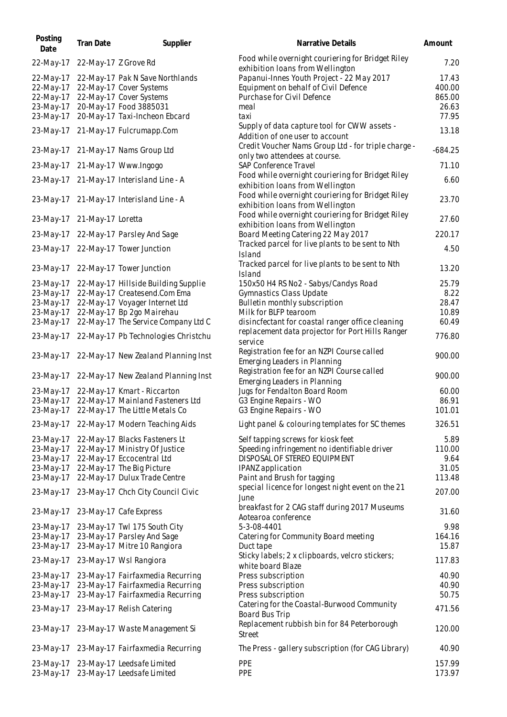| Posting<br>Date        | Tran Date         | Supplier                                                             | Narrative Details                                                                                    | Amount          |
|------------------------|-------------------|----------------------------------------------------------------------|------------------------------------------------------------------------------------------------------|-----------------|
| 22-May-17              |                   | 22-May-17 Z Grove Rd                                                 | Food while overnight couriering for Bridget Riley<br>exhibition loans from Wellington                | 7.20            |
| 22-May-17              |                   | 22-May-17 Pak N Save Northlands                                      | Papanui-Innes Youth Project - 22 May 2017                                                            | 17.43           |
| 22-May-17              |                   | 22-May-17 Cover Systems                                              | Equipment on behalf of Civil Defence                                                                 | 400.00          |
| 22-May-17              |                   | 22-May-17 Cover Systems                                              | Purchase for Civil Defence                                                                           | 865.00          |
| 23-May-17              |                   | 20-May-17 Food 3885031                                               | meal                                                                                                 | 26.63           |
| 23-May-17              |                   | 20-May-17 Taxi-Incheon Ebcard                                        | taxi                                                                                                 | 77.95           |
| 23-May-17              |                   | 21-May-17 Fulcrumapp.Com                                             | Supply of data capture tool for CWW assets -<br>Addition of one user to account                      | 13.18           |
|                        |                   | 23-May-17 21-May-17 Nams Group Ltd                                   | Credit Voucher Nams Group Ltd - for triple charge -<br>only two attendees at course.                 | $-684.25$       |
| 23-May-17              |                   | 21-May-17 Www.Ingogo                                                 | SAP Conference Travel                                                                                | 71.10           |
| 23-May-17              |                   | 21-May-17 Interisland Line - A                                       | Food while overnight couriering for Bridget Riley<br>exhibition loans from Wellington                | 6.60            |
| 23-May-17              |                   | 21-May-17 Interisland Line - A                                       | Food while overnight couriering for Bridget Riley<br>exhibition loans from Wellington                | 23.70           |
| 23-May-17              | 21-May-17 Loretta |                                                                      | Food while overnight couriering for Bridget Riley<br>exhibition loans from Wellington                | 27.60           |
| 23-May-17              |                   | 22-May-17 Parsley And Sage                                           | Board Meeting Catering 22 May 2017                                                                   | 220.17          |
| 23-May-17              |                   | 22-May-17 Tower Junction                                             | Tracked parcel for live plants to be sent to Nth                                                     | 4.50            |
|                        |                   |                                                                      | Island                                                                                               |                 |
| 23-May-17              |                   | 22-May-17 Tower Junction                                             | Tracked parcel for live plants to be sent to Nth<br><b>Island</b>                                    | 13.20           |
| 23-May-17              |                   | 22-May-17 Hillside Building Supplie                                  | 150x50 H4 RS No2 - Sabys/Candys Road                                                                 | 25.79           |
| 23-May-17              |                   | 22-May-17 Createsend.Com Ema                                         | Gymnastics Class Update                                                                              | 8.22            |
| 23-May-17              |                   | 22-May-17 Voyager Internet Ltd                                       | Bulletin monthly subscription                                                                        | 28.47           |
| 23-May-17              |                   | 22-May-17 Bp 2go Mairehau                                            | Milk for BLFP tearoom                                                                                | 10.89           |
| 23-May-17              |                   | 22-May-17 The Service Company Ltd C                                  | disincfectant for coastal ranger office cleaning<br>replacement data projector for Port Hills Ranger | 60.49           |
| 23-May-17              |                   | 22-May-17 Pb Technologies Christchu                                  | service                                                                                              | 776.80          |
| 23-May-17              |                   | 22-May-17 New Zealand Planning Inst                                  | Registration fee for an NZPI Course called<br>Emerging Leaders in Planning                           | 900.00          |
| 23-May-17              |                   | 22-May-17 New Zealand Planning Inst                                  | Registration fee for an NZPI Course called<br>Emerging Leaders in Planning                           | 900.00          |
| 23-May-17              |                   | 22-May-17 Kmart - Riccarton                                          | Jugs for Fendalton Board Room                                                                        | 60.00           |
| 23-May-17              |                   | 22-May-17 Mainland Fasteners Ltd                                     | G3 Engine Repairs - WO                                                                               | 86.91           |
|                        |                   | 23-May-17 22-May-17 The Little Metals Co                             | G3 Engine Repairs - WO                                                                               | 101.01          |
|                        |                   | 23-May-17 22-May-17 Modern Teaching Aids                             | Light panel & colouring templates for SC themes                                                      | 326.51          |
| 23-May-17              |                   | 22-May-17 Blacks Fasteners Lt                                        | Self tapping screws for kiosk feet                                                                   | 5.89            |
| 23-May-17              |                   | 22-May-17 Ministry Of Justice                                        | Speeding infringement no identifiable driver                                                         | 110.00          |
| 23-May-17              |                   | 22-May-17 Eccocentral Ltd                                            | DISPOSAL OF STEREO EQUIPMENT                                                                         | 9.64            |
| 23-May-17              |                   | 22-May-17 The Big Picture                                            | IPANZ application                                                                                    | 31.05           |
| 23-May-17              |                   | 22-May-17 Dulux Trade Centre                                         | Paint and Brush for tagging<br>special licence for longest night event on the 21                     | 113.48          |
| 23-May-17              |                   | 23-May-17 Chch City Council Civic                                    | June                                                                                                 | 207.00          |
| 23-May-17              |                   | 23-May-17 Cafe Express                                               | breakfast for 2 CAG staff during 2017 Museums<br>Aotearoa conference                                 | 31.60           |
| 23-May-17              |                   | 23-May-17 Twl 175 South City                                         | 5-3-08-4401                                                                                          | 9.98            |
| 23-May-17              |                   | 23-May-17 Parsley And Sage                                           | Catering for Community Board meeting                                                                 | 164.16          |
| 23-May-17<br>23-May-17 |                   | 23-May-17 Mitre 10 Rangiora<br>23-May-17 Wsl Rangiora                | Duct tape<br>Sticky labels; 2 x clipboards, velcro stickers;                                         | 15.87<br>117.83 |
|                        |                   |                                                                      | white board Blaze                                                                                    |                 |
| 23-May-17              |                   | 23-May-17 Fairfaxmedia Recurring                                     | Press subscription                                                                                   | 40.90           |
| 23-May-17<br>23-May-17 |                   | 23-May-17 Fairfaxmedia Recurring<br>23-May-17 Fairfaxmedia Recurring | Press subscription<br>Press subscription                                                             | 40.90<br>50.75  |
| 23-May-17              |                   | 23-May-17 Relish Catering                                            | Catering for the Coastal-Burwood Community                                                           | 471.56          |
|                        |                   | 23-May-17 23-May-17 Waste Management Si                              | Board Bus Trip<br>Replacement rubbish bin for 84 Peterborough<br><b>Street</b>                       | 120.00          |
|                        |                   | 23-May-17 23-May-17 Fairfaxmedia Recurring                           | The Press - gallery subscription (for CAG Library)                                                   | 40.90           |
| 23-May-17              |                   | 23-May-17 Leedsafe Limited                                           | PPE                                                                                                  | 157.99          |
| 23-May-17              |                   | 23-May-17 Leedsafe Limited                                           | PPE                                                                                                  | 173.97          |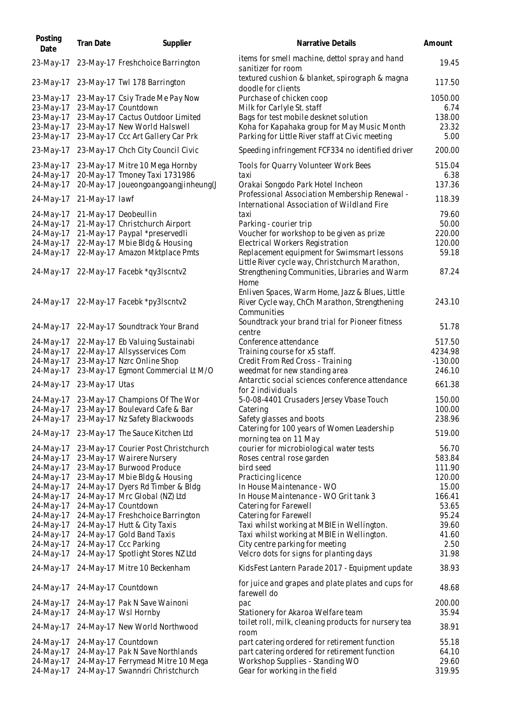| Posting<br>Date        | Tran Date      | Supplier                                                                   | Narrative Details                                                                              | Amount           |
|------------------------|----------------|----------------------------------------------------------------------------|------------------------------------------------------------------------------------------------|------------------|
| 23-May-17              |                | 23-May-17 Freshchoice Barrington                                           | items for smell machine, dettol spray and hand<br>sanitizer for room                           | 19.45            |
| 23-May-17              |                | 23-May-17 Twl 178 Barrington                                               | textured cushion & blanket, spirograph & magna<br>doodle for clients                           | 117.50           |
| 23-May-17              |                | 23-May-17 Csiy Trade Me Pay Now                                            | Purchase of chicken coop                                                                       | 1050.00          |
| 23-May-17              |                | 23-May-17 Countdown                                                        | Milk for Carlyle St. staff                                                                     | 6.74             |
| 23-May-17              |                | 23-May-17 Cactus Outdoor Limited                                           | Bags for test mobile desknet solution                                                          | 138.00           |
| 23-May-17<br>23-May-17 |                | 23-May-17 New World Halswell<br>23-May-17 Ccc Art Gallery Car Prk          | Koha for Kapahaka group for May Music Month<br>Parking for Little River staff at Civic meeting | 23.32<br>5.00    |
| 23-May-17              |                | 23-May-17 Chch City Council Civic                                          | Speeding infringement FCF334 no identified driver                                              | 200.00           |
| 23-May-17              |                | 23-May-17 Mitre 10 Mega Hornby                                             | Tools for Quarry Volunteer Work Bees                                                           | 515.04           |
| 24-May-17              |                | 20-May-17 Tmoney Taxi 1731986                                              | taxi                                                                                           | 6.38             |
| 24-May-17              |                | 20-May-17 Joueongoangoangjinheung(J                                        | Orakai Songodo Park Hotel Incheon                                                              | 137.36           |
| 24-May-17              | 21-May-17 lawf |                                                                            | Professional Association Membership Renewal -<br>International Association of Wildland Fire    | 118.39           |
| 24-May-17              |                | 21-May-17 Deobeullin                                                       | taxi                                                                                           | 79.60            |
| 24-May-17              |                | 21-May-17 Christchurch Airport                                             | Parking - courier trip                                                                         | 50.00            |
| 24-May-17<br>24-May-17 |                | 21-May-17 Paypal *preservedli<br>22-May-17 Mbie Bldg & Housing             | Voucher for workshop to be given as prize<br>Electrical Workers Registration                   | 220.00<br>120.00 |
| 24-May-17              |                | 22-May-17 Amazon Mktplace Pmts                                             | Replacement equipment for Swimsmart lessons                                                    | 59.18            |
|                        |                |                                                                            | Little River cycle way, Christchurch Marathon,                                                 |                  |
| 24-May-17              |                | 22-May-17 Facebk *qy3lscntv2                                               | Strengthening Communities, Libraries and Warm                                                  | 87.24            |
|                        |                |                                                                            | Home<br>Enliven Spaces, Warm Home, Jazz & Blues, Little                                        |                  |
|                        |                | 24-May-17 22-May-17 Facebk *py3lscntv2                                     | River Cycle way, ChCh Marathon, Strengthening                                                  | 243.10           |
|                        |                |                                                                            | Communities                                                                                    |                  |
| 24-May-17              |                | 22-May-17 Soundtrack Your Brand                                            | Soundtrack your brand trial for Pioneer fitness                                                | 51.78            |
| 24-May-17              |                | 22-May-17 Eb Valuing Sustainabi                                            | centre<br>Conference attendance                                                                | 517.50           |
| 24-May-17              |                | 22-May-17 Allsysservices Com                                               | Training course for x5 staff.                                                                  | 4234.98          |
| 24-May-17              |                | 23-May-17 Nzrc Online Shop                                                 | Credit From Red Cross - Training                                                               | $-130.00$        |
| 24-May-17              |                | 23-May-17 Egmont Commercial Lt M/O                                         | weedmat for new standing area                                                                  | 246.10           |
| 24-May-17              | 23-May-17 Utas |                                                                            | Antarctic social sciences conference attendance                                                | 661.38           |
|                        |                |                                                                            | for 2 individuals                                                                              |                  |
| 24-May-17              |                | 23-May-17 Champions Of The Wor<br>24-May-17 23-May-17 Boulevard Cafe & Bar | 5-0-08-4401 Crusaders Jersey Vbase Touch<br>Catering                                           | 150.00<br>100.00 |
|                        |                | 24-May-17 23-May-17 Nz Safety Blackwoods                                   | Safety glasses and boots                                                                       | 238.96           |
|                        |                |                                                                            | Catering for 100 years of Women Leadership                                                     | 519.00           |
| 24-May-17              |                | 23-May-17 The Sauce Kitchen Ltd                                            | morning tea on 11 May                                                                          |                  |
| 24-May-17              |                | 23-May-17 Courier Post Christchurch                                        | courier for microbiological water tests                                                        | 56.70            |
| 24-May-17              |                | 23-May-17 Wairere Nursery                                                  | Roses central rose garden                                                                      | 583.84           |
| 24-May-17<br>24-May-17 |                | 23-May-17 Burwood Produce<br>23-May-17 Mbie Bldg & Housing                 | bird seed<br>Practicing licence                                                                | 111.90<br>120.00 |
| 24-May-17              |                | 24-May-17 Dyers Rd Timber & Bldg                                           | In House Maintenance - WO                                                                      | 15.00            |
| 24-May-17              |                | 24-May-17 Mrc Global (NZ) Ltd                                              | In House Maintenance - WO Grit tank 3                                                          | 166.41           |
| 24-May-17              |                | 24-May-17 Countdown                                                        | Catering for Farewell                                                                          | 53.65            |
| 24-May-17              |                | 24-May-17 Freshchoice Barrington                                           | Catering for Farewell                                                                          | 95.24            |
| 24-May-17              |                | 24-May-17 Hutt & City Taxis                                                | Taxi whilst working at MBIE in Wellington.                                                     | 39.60            |
| 24-May-17              |                | 24-May-17 Gold Band Taxis                                                  | Taxi whilst working at MBIE in Wellington.                                                     | 41.60            |
| 24-May-17<br>24-May-17 |                | 24-May-17 Ccc Parking<br>24-May-17 Spotlight Stores NZ Ltd                 | City centre parking for meeting<br>Velcro dots for signs for planting days                     | 2.50<br>31.98    |
| 24-May-17              |                | 24-May-17 Mitre 10 Beckenham                                               | KidsFest Lantern Parade 2017 - Equipment update                                                | 38.93            |
|                        |                |                                                                            | for juice and grapes and plate plates and cups for                                             |                  |
| 24-May-17              |                | 24-May-17 Countdown                                                        | farewell do                                                                                    | 48.68            |
| 24-May-17              |                | 24-May-17 Pak N Save Wainoni                                               | pac                                                                                            | 200.00           |
| 24-May-17              |                | 24-May-17 Wsl Hornby                                                       | Stationery for Akaroa Welfare team                                                             | 35.94            |
| 24-May-17              |                | 24-May-17 New World Northwood                                              | toilet roll, milk, cleaning products for nursery tea<br>room                                   | 38.91            |
| 24-May-17              |                | 24-May-17 Countdown                                                        | part catering ordered for retirement function                                                  | 55.18            |
| 24-May-17              |                | 24-May-17 Pak N Save Northlands                                            | part catering ordered for retirement function                                                  | 64.10            |
| 24-May-17              |                | 24-May-17 Ferrymead Mitre 10 Mega                                          | Workshop Supplies - Standing WO                                                                | 29.60            |
| 24-May-17              |                | 24-May-17 Swanndri Christchurch                                            | Gear for working in the field                                                                  | 319.95           |